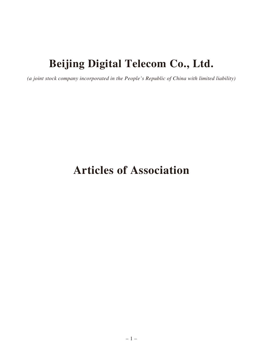# **Beijing Digital Telecom Co., Ltd.**

*(a joint stock company incorporated in the People's Republic of China with limited liability)*

# **Articles of Association**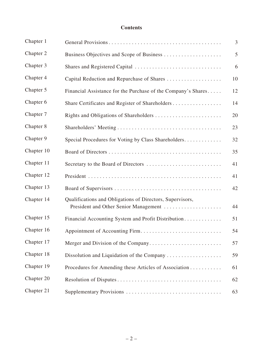# **Contents**

| Chapter 1  |                                                                                                    | 3  |
|------------|----------------------------------------------------------------------------------------------------|----|
| Chapter 2  | Business Objectives and Scope of Business                                                          | 5  |
| Chapter 3  | Shares and Registered Capital                                                                      | 6  |
| Chapter 4  | Capital Reduction and Repurchase of Shares                                                         | 10 |
| Chapter 5  | Financial Assistance for the Purchase of the Company's Shares                                      | 12 |
| Chapter 6  | Share Certificates and Register of Shareholders                                                    | 14 |
| Chapter 7  | Rights and Obligations of Shareholders                                                             | 20 |
| Chapter 8  |                                                                                                    | 23 |
| Chapter 9  | Special Procedures for Voting by Class Shareholders                                                | 32 |
| Chapter 10 |                                                                                                    | 35 |
| Chapter 11 | Secretary to the Board of Directors                                                                | 41 |
| Chapter 12 |                                                                                                    | 41 |
| Chapter 13 |                                                                                                    | 42 |
| Chapter 14 | Qualifications and Obligations of Directors, Supervisors,<br>President and Other Senior Management | 44 |
| Chapter 15 | Financial Accounting System and Profit Distribution                                                | 51 |
| Chapter 16 |                                                                                                    | 54 |
| Chapter 17 |                                                                                                    | 57 |
| Chapter 18 | Dissolution and Liquidation of the Company                                                         | 59 |
| Chapter 19 | Procedures for Amending these Articles of Association                                              | 61 |
| Chapter 20 |                                                                                                    | 62 |
| Chapter 21 |                                                                                                    | 63 |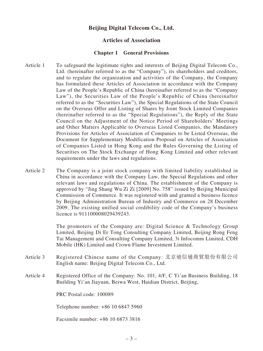# **Beijing Digital Telecom Co., Ltd.**

# **Articles of Association**

#### **Chapter 1 General Provisions**

- Article 1 To safeguard the legitimate rights and interests of Beijing Digital Telecom Co., Ltd. (hereinafter referred to as the "Company"), its shareholders and creditors, and to regulate the organization and activities of the Company, the Company has formulated these Articles of Association in accordance with the Company Law of the People's Republic of China (hereinafter referred to as the "Company Law"), the Securities Law of the People's Republic of China (hereinafter referred to as the "Securities Law"), the Special Regulations of the State Council on the Overseas Offer and Listing of Shares by Joint Stock Limited Companies (hereinafter referred to as the "Special Regulations"), the Reply of the State Council on the Adjustment of the Notice Period of Shareholders' Meetings and Other Matters Applicable to Overseas Listed Companies, the Mandatory Provisions for Articles of Association of Companies to be Listed Overseas, the Document for Supplementary Modification Proposal on Articles of Association of Companies Listed in Hong Kong and the Rules Governing the Listing of Securities on The Stock Exchange of Hong Kong Limited and other relevant requirements under the laws and regulations.
- Article 2 The Company is a joint stock company with limited liability established in China in accordance with the Company Law, the Special Regulations and other relevant laws and regulations of China. The establishment of the Company is approved by "Jing Shang Wu Zi Zi [2009] No. 758" issued by Beijing Municipal Commission of Commerce. It was registered with and granted a business licence by Beijing Administration Bureau of Industry and Commerce on 28 December 2009. The existing unified social credibility code of the Company's business licence is 911100008029439243.

The promoters of the Company are: Digital Science & Technology Group Limited, Beijing Di Er Tong Consulting Company Limited, Beijing Rong Feng Tai Management and Consulting Company Limited, 3i Infocomm Limited, CDH Mobile (HK) Limited and Crown Flame Investment Limited.

- Article 3 Registered Chinese name of the Company: 北京迪信通商貿股份有限公司 English name: Beijing Digital Telecom Co., Ltd.
- Article 4 Registered Office of the Company: No. 101, 4/F, C Yi'an Business Building, 18 Building Yi'an Jiayuan, Beiwa West, Haidian District, Beijing,

PRC Postal code: 100089

Telephone number: +86 10 6847 5960

Facsimile number: +86 10 6873 3816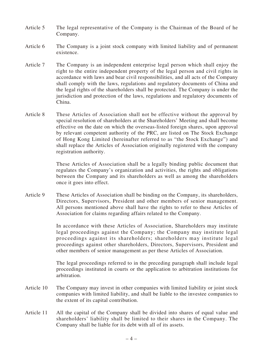- Article 5 The legal representative of the Company is the Chairman of the Board of he Company.
- Article 6 The Company is a joint stock company with limited liability and of permanent existence.
- Article 7 The Company is an independent enterprise legal person which shall enjoy the right to the entire independent property of the legal person and civil rights in accordance with laws and bear civil responsibilities, and all acts of the Company shall comply with the laws, regulations and regulatory documents of China and the legal rights of the shareholders shall be protected. The Company is under the jurisdiction and protection of the laws, regulations and regulatory documents of China.
- Article 8 These Articles of Association shall not be effective without the approval by special resolution of shareholders at the Shareholders' Meeting and shall become effective on the date on which the overseas-listed foreign shares, upon approval by relevant competent authority of the PRC, are listed on The Stock Exchange of Hong Kong Limited (hereinafter referred to as "the Stock Exchange") and shall replace the Articles of Association originally registered with the company registration authority.

These Articles of Association shall be a legally binding public document that regulates the Company's organization and activities, the rights and obligations between the Company and its shareholders as well as among the shareholders once it goes into effect.

Article 9 These Articles of Association shall be binding on the Company, its shareholders, Directors, Supervisors, President and other members of senior management. All persons mentioned above shall have the rights to refer to these Articles of Association for claims regarding affairs related to the Company.

> In accordance with these Articles of Association, Shareholders may institute legal proceedings against the Company; the Company may institute legal proceedings against its shareholders; shareholders may institute legal proceedings against other shareholders, Directors, Supervisors, President and other members of senior management as per these Articles of Association.

> The legal proceedings referred to in the preceding paragraph shall include legal proceedings instituted in courts or the application to arbitration institutions for arbitration.

- Article 10 The Company may invest in other companies with limited liability or joint stock companies with limited liability, and shall be liable to the investee companies to the extent of its capital contribution.
- Article 11 All the capital of the Company shall be divided into shares of equal value and shareholders' liability shall be limited to their shares in the Company. The Company shall be liable for its debt with all of its assets.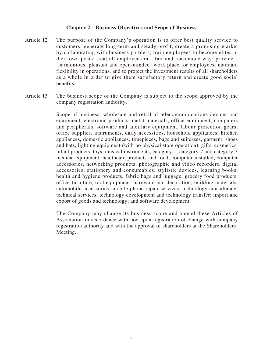#### **Chapter 2 Business Objectives and Scope of Business**

- Article 12 The purpose of the Company's operation is to offer best quality service to customers; generate long-term and steady profit; create a promising market by collaborating with business partners; train employees to become elites in their own posts; treat all employees in a fair and reasonable way; provide a 'harmonious, pleasant and open-minded' work place for employees, maintain flexibility in operations, and to protect the investment results of all shareholders as a whole in order to give them satisfactory return and create good social benefits.
- Article 13 The business scope of the Company is subject to the scope approved by the company registration authority.

Scope of business: wholesale and retail of telecommunications devices and equipment, electronic products, metal materials, office equipment, computers and peripherals, software and ancillary equipment, labour protection gears, office supplies, instruments, daily necessities, household appliances, kitchen appliances, domestic appliances, timepieces, bags and suitcases, garment, shoes and hats, lighting equipment (with no physical store operation), gifts, cosmetics, infant products, toys, musical instruments, category-1, category-2 and category-3 medical equipment, healthcare products and food, computer installed, computer accessories, networking products, photographic and video recorders, digital accessories, stationery and consumables, stylistic devices, learning books, health and hygiene products, fabric bags and luggage, grocery food products, office furniture, tool equipment, hardware and decoration, building materials, automobile accessories; mobile phone repair services; technology consultancy, technical services, technology development and technology transfer; import and export of goods and technology; and software development.

The Company may change its business scope and amend these Articles of Association in accordance with law upon registration of change with company registration authority and with the approval of shareholders at the Shareholders' Meeting.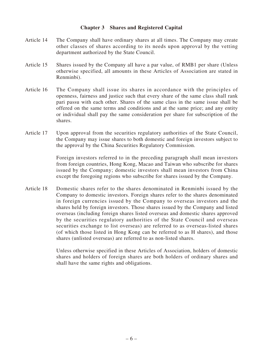# **Chapter 3 Shares and Registered Capital**

- Article 14 The Company shall have ordinary shares at all times. The Company may create other classes of shares according to its needs upon approval by the vetting department authorized by the State Council.
- Article 15 Shares issued by the Company all have a par value, of RMB1 per share (Unless otherwise specified, all amounts in these Articles of Association are stated in Renminbi).
- Article 16 The Company shall issue its shares in accordance with the principles of openness, fairness and justice such that every share of the same class shall rank pari passu with each other. Shares of the same class in the same issue shall be offered on the same terms and conditions and at the same price; and any entity or individual shall pay the same consideration per share for subscription of the shares.
- Article 17 Upon approval from the securities regulatory authorities of the State Council, the Company may issue shares to both domestic and foreign investors subject to the approval by the China Securities Regulatory Commission.

Foreign investors referred to in the preceding paragraph shall mean investors from foreign countries, Hong Kong, Macao and Taiwan who subscribe for shares issued by the Company; domestic investors shall mean investors from China except the foregoing regions who subscribe for shares issued by the Company.

Article 18 Domestic shares refer to the shares denominated in Renminbi issued by the Company to domestic investors. Foreign shares refer to the shares denominated in foreign currencies issued by the Company to overseas investors and the shares held by foreign investors. Those shares issued by the Company and listed overseas (including foreign shares listed overseas and domestic shares approved by the securities regulatory authorities of the State Council and overseas securities exchange to list overseas) are referred to as overseas-listed shares (of which those listed in Hong Kong can be referred to as H shares), and those shares (unlisted overseas) are referred to as non-listed shares.

> Unless otherwise specified in these Articles of Association, holders of domestic shares and holders of foreign shares are both holders of ordinary shares and shall have the same rights and obligations.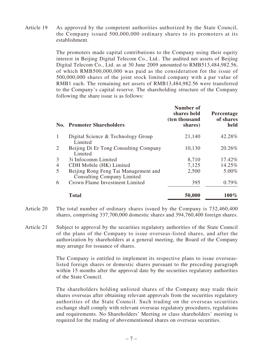Article 19 As approved by the competent authorities authorized by the State Council, the Company issued 500,000,000 ordinary shares to its promoters at its establishment.

> The promoters made capital contributions to the Company using their equity interest in Beijing Digital Telecom Co., Ltd.. The audited net assets of Beijing Digital Telecom Co., Ltd. as at 30 June 2009 amounted to RMB513,484,982.56, of which RMB500,000,000 was paid as the consideration for the issue of 500,000,000 shares of the joint stock limited company with a par value of RMB1 each. The remaining net assets of RMB13,484,982.56 were transferred to the Company's capital reserve. The shareholding structure of the Company following the share issue is as follows:

|                | <b>No. Promoter Shareholders</b>                                          | Number of<br>shares held<br>(ten thousand<br>shares) | Percentage<br>of shares<br>held |
|----------------|---------------------------------------------------------------------------|------------------------------------------------------|---------------------------------|
|                | Digital Science & Technology Group<br>Limited                             | 21,140                                               | 42.28%                          |
| $\overline{2}$ | Beijing Di Er Tong Consulting Company<br>Limited                          | 10,130                                               | 20.26%                          |
| 3              | 3i Infocomm Limited                                                       | 8,710                                                | 17.42%                          |
| $\overline{4}$ | CDH Mobile (HK) Limited                                                   | 7,125                                                | 14.25%                          |
| 5              | Beijing Rong Feng Tai Management and<br><b>Consulting Company Limited</b> | 2,500                                                | 5.00%                           |
| 6              | Crown Flame Investment Limited                                            | 395                                                  | $0.79\%$                        |
|                | <b>Total</b>                                                              | 50,000                                               | $100\%$                         |

- Article 20 The total number of ordinary shares issued by the Company is 732,460,400 shares, comprising 337,700,000 domestic shares and 394,760,400 foreign shares.
- Article 21 Subject to approval by the securities regulatory authorities of the State Council of the plans of the Company to issue overseas-listed shares, and after the authorization by shareholders at a general meeting, the Board of the Company may arrange for issuance of shares.

The Company is entitled to implement its respective plans to issue overseaslisted foreign shares or domestic shares pursuant to the preceding paragraph within 15 months after the approval date by the securities regulatory authorities of the State Council.

The shareholders holding unlisted shares of the Company may trade their shares overseas after obtaining relevant approvals from the securities regulatory authorities of the State Council. Such trading on the overseas securities exchange shall comply with relevant overseas regulatory procedures, regulations and requirements. No Shareholders' Meeting or class shareholders' meeting is required for the trading of abovementioned shares on overseas securities.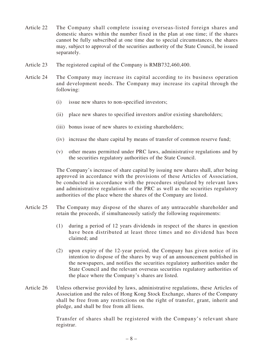- Article 22 The Company shall complete issuing overseas-listed foreign shares and domestic shares within the number fixed in the plan at one time; if the shares cannot be fully subscribed at one time due to special circumstances, the shares may, subject to approval of the securities authority of the State Council, be issued separately.
- Article 23 The registered capital of the Company is RMB732,460,400.
- Article 24 The Company may increase its capital according to its business operation and development needs. The Company may increase its capital through the following:
	- (i) issue new shares to non-specified investors;
	- (ii) place new shares to specified investors and/or existing shareholders;
	- (iii) bonus issue of new shares to existing shareholders;
	- (iv) increase the share capital by means of transfer of common reserve fund;
	- (v) other means permitted under PRC laws, administrative regulations and by the securities regulatory authorities of the State Council.

The Company's increase of share capital by issuing new shares shall, after being approved in accordance with the provisions of these Articles of Association, be conducted in accordance with the procedures stipulated by relevant laws and administrative regulations of the PRC as well as the securities regulatory authorities of the place where the shares of the Company are listed.

- Article 25 The Company may dispose of the shares of any untraceable shareholder and retain the proceeds, if simultaneously satisfy the following requirements:
	- (1) during a period of 12 years dividends in respect of the shares in question have been distributed at least three times and no dividend has been claimed; and
	- (2) upon expiry of the 12-year period, the Company has given notice of its intention to dispose of the shares by way of an announcement published in the newspapers, and notifies the securities regulatory authorities under the State Council and the relevant overseas securities regulatory authorities of the place where the Company's shares are listed.
- Article 26 Unless otherwise provided by laws, administrative regulations, these Articles of Association and the rules of Hong Kong Stock Exchange, shares of the Company shall be free from any restrictions on the right of transfer, grant, inherit and pledge, and shall be free from all liens.

Transfer of shares shall be registered with the Company's relevant share registrar.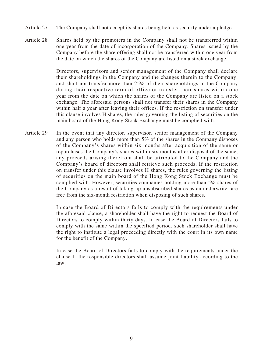- Article 27 The Company shall not accept its shares being held as security under a pledge.
- Article 28 Shares held by the promoters in the Company shall not be transferred within one year from the date of incorporation of the Company. Shares issued by the Company before the share offering shall not be transferred within one year from the date on which the shares of the Company are listed on a stock exchange.

Directors, supervisors and senior management of the Company shall declare their shareholdings in the Company and the changes therein to the Company; and shall not transfer more than 25% of their shareholdings in the Company during their respective term of office or transfer their shares within one year from the date on which the shares of the Company are listed on a stock exchange. The aforesaid persons shall not transfer their shares in the Company within half a year after leaving their offices. If the restriction on transfer under this clause involves H shares, the rules governing the listing of securities on the main board of the Hong Kong Stock Exchange must be complied with.

Article 29 In the event that any director, supervisor, senior management of the Company and any person who holds more than 5% of the shares in the Company disposes of the Company's shares within six months after acquisition of the same or repurchases the Company's shares within six months after disposal of the same, any proceeds arising therefrom shall be attributed to the Company and the Company's board of directors shall retrieve such proceeds. If the restriction on transfer under this clause involves H shares, the rules governing the listing of securities on the main board of the Hong Kong Stock Exchange must be complied with. However, securities companies holding more than 5% shares of the Company as a result of taking up unsubscribed shares as an underwriter are free from the six-month restriction when disposing of such shares.

> In case the Board of Directors fails to comply with the requirements under the aforesaid clause, a shareholder shall have the right to request the Board of Directors to comply within thirty days. In case the Board of Directors fails to comply with the same within the specified period, such shareholder shall have the right to institute a legal proceeding directly with the court in its own name for the benefit of the Company.

> In case the Board of Directors fails to comply with the requirements under the clause 1, the responsible directors shall assume joint liability according to the law.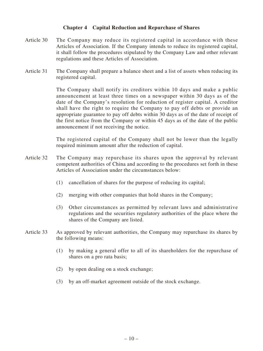# **Chapter 4 Capital Reduction and Repurchase of Shares**

- Article 30 The Company may reduce its registered capital in accordance with these Articles of Association. If the Company intends to reduce its registered capital, it shall follow the procedures stipulated by the Company Law and other relevant regulations and these Articles of Association.
- Article 31 The Company shall prepare a balance sheet and a list of assets when reducing its registered capital.

The Company shall notify its creditors within 10 days and make a public announcement at least three times on a newspaper within 30 days as of the date of the Company's resolution for reduction of register capital. A creditor shall have the right to require the Company to pay off debts or provide an appropriate guarantee to pay off debts within 30 days as of the date of receipt of the first notice from the Company or within 45 days as of the date of the public announcement if not receiving the notice.

The registered capital of the Company shall not be lower than the legally required minimum amount after the reduction of capital.

- Article 32 The Company may repurchase its shares upon the approval by relevant competent authorities of China and according to the procedures set forth in these Articles of Association under the circumstances below:
	- (1) cancellation of shares for the purpose of reducing its capital;
	- (2) merging with other companies that hold shares in the Company;
	- (3) Other circumstances as permitted by relevant laws and administrative regulations and the securities regulatory authorities of the place where the shares of the Company are listed.
- Article 33 As approved by relevant authorities, the Company may repurchase its shares by the following means:
	- (1) by making a general offer to all of its shareholders for the repurchase of shares on a pro rata basis;
	- (2) by open dealing on a stock exchange;
	- (3) by an off-market agreement outside of the stock exchange.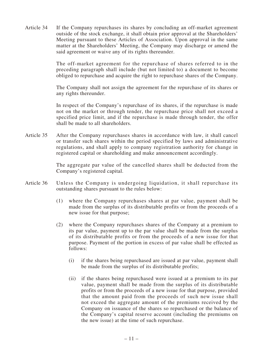Article 34 If the Company repurchases its shares by concluding an off-market agreement outside of the stock exchange, it shall obtain prior approval at the Shareholders' Meeting pursuant to these Articles of Association. Upon approval in the same matter at the Shareholders' Meeting, the Company may discharge or amend the said agreement or waive any of its rights thereunder.

> The off-market agreement for the repurchase of shares referred to in the preceding paragraph shall include (but not limited to) a document to become obliged to repurchase and acquire the right to repurchase shares of the Company.

> The Company shall not assign the agreement for the repurchase of its shares or any rights thereunder.

> In respect of the Company's repurchase of its shares, if the repurchase is made not on the market or through tender, the repurchase price shall not exceed a specified price limit, and if the repurchase is made through tender, the offer shall be made to all shareholders.

Article 35 After the Company repurchases shares in accordance with law, it shall cancel or transfer such shares within the period specified by laws and administrative regulations, and shall apply to company registration authority for change in registered capital or shareholding and make announcement accordingly.

> The aggregate par value of the cancelled shares shall be deducted from the Company's registered capital.

- Article 36 Unless the Company is undergoing liquidation, it shall repurchase its outstanding shares pursuant to the rules below:
	- (1) where the Company repurchases shares at par value, payment shall be made from the surplus of its distributable profits or from the proceeds of a new issue for that purpose;
	- (2) where the Company repurchases shares of the Company at a premium to its par value, payment up to the par value shall be made from the surplus of its distributable profits or from the proceeds of a new issue for that purpose. Payment of the portion in excess of par value shall be effected as follows:
		- (i) if the shares being repurchased are issued at par value, payment shall be made from the surplus of its distributable profits;
		- (ii) if the shares being repurchased were issued at a premium to its par value, payment shall be made from the surplus of its distributable profits or from the proceeds of a new issue for that purpose, provided that the amount paid from the proceeds of such new issue shall not exceed the aggregate amount of the premiums received by the Company on issuance of the shares so repurchased or the balance of the Company's capital reserve account (including the premiums on the new issue) at the time of such repurchase.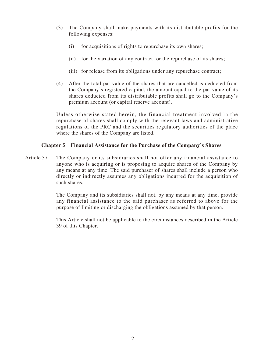- (3) The Company shall make payments with its distributable profits for the following expenses:
	- (i) for acquisitions of rights to repurchase its own shares;
	- (ii) for the variation of any contract for the repurchase of its shares;
	- (iii) for release from its obligations under any repurchase contract;
- (4) After the total par value of the shares that are cancelled is deducted from the Company's registered capital, the amount equal to the par value of its shares deducted from its distributable profits shall go to the Company's premium account (or capital reserve account).

Unless otherwise stated herein, the financial treatment involved in the repurchase of shares shall comply with the relevant laws and administrative regulations of the PRC and the securities regulatory authorities of the place where the shares of the Company are listed.

# **Chapter 5 Financial Assistance for the Purchase of the Company's Shares**

Article 37 The Company or its subsidiaries shall not offer any financial assistance to anyone who is acquiring or is proposing to acquire shares of the Company by any means at any time. The said purchaser of shares shall include a person who directly or indirectly assumes any obligations incurred for the acquisition of such shares.

> The Company and its subsidiaries shall not, by any means at any time, provide any financial assistance to the said purchaser as referred to above for the purpose of limiting or discharging the obligations assumed by that person.

> This Article shall not be applicable to the circumstances described in the Article 39 of this Chapter.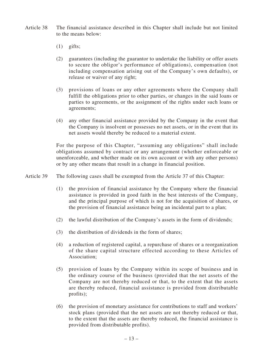- Article 38 The financial assistance described in this Chapter shall include but not limited to the means below:
	- $(1)$  gifts;
	- (2) guarantees (including the guarantor to undertake the liability or offer assets to secure the obligor's performance of obligations), compensation (not including compensation arising out of the Company's own defaults), or release or waiver of any right;
	- (3) provisions of loans or any other agreements where the Company shall fulfill the obligations prior to other parties, or changes in the said loans or parties to agreements, or the assignment of the rights under such loans or agreements;
	- (4) any other financial assistance provided by the Company in the event that the Company is insolvent or possesses no net assets, or in the event that its net assets would thereby be reduced to a material extent.

For the purpose of this Chapter, "assuming any obligations" shall include obligations assumed by contract or any arrangement (whether enforceable or unenforceable, and whether made on its own account or with any other persons) or by any other means that result in a change in financial position.

Article 39 The following cases shall be exempted from the Article 37 of this Chapter:

- (1) the provision of financial assistance by the Company where the financial assistance is provided in good faith in the best interests of the Company, and the principal purpose of which is not for the acquisition of shares, or the provision of financial assistance being an incidental part to a plan;
- (2) the lawful distribution of the Company's assets in the form of dividends;
- (3) the distribution of dividends in the form of shares;
- (4) a reduction of registered capital, a repurchase of shares or a reorganization of the share capital structure effected according to these Articles of Association;
- (5) provision of loans by the Company within its scope of business and in the ordinary course of the business (provided that the net assets of the Company are not thereby reduced or that, to the extent that the assets are thereby reduced, financial assistance is provided from distributable profits);
- (6) the provision of monetary assistance for contributions to staff and workers' stock plans (provided that the net assets are not thereby reduced or that, to the extent that the assets are thereby reduced, the financial assistance is provided from distributable profits).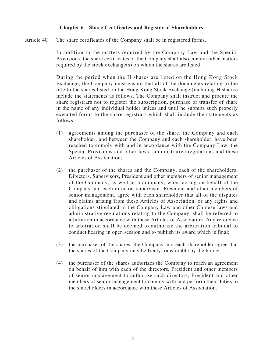# **Chapter 6 Share Certificates and Register of Shareholders**

Article 40 The share certificates of the Company shall be in registered forms.

In addition to the matters required by the Company Law and the Special Provisions, the share certificates of the Company shall also contain other matters required by the stock exchange(s) on which the shares are listed.

During the period when the H shares are listed on the Hong Kong Stock Exchange, the Company must ensure that all of the documents relating to the title to the shares listed on the Hong Kong Stock Exchange (including H shares) include the statements as follows. The Company shall instruct and procure the share registrars not to register the subscription, purchase or transfer of share in the name of any individual holder unless and until he submits such properly executed forms to the share registrars which shall include the statements as follows:

- (1) agreements among the purchaser of the share, the Company and each shareholder, and between the Company and each shareholder, have been reached to comply with and in accordance with the Company Law, the Special Provisions and other laws, administrative regulations and these Articles of Association;
- (2) the purchaser of the shares and the Company, each of the shareholders, Directors, Supervisors, President and other members of senior management of the Company, as well as a company, when acting on behalf of the Company and each director, supervisor, President and other members of senior management, agree with each shareholder that all of the disputes and claims arising from these Articles of Association, or any rights and obligations stipulated in the Company Law and other Chinese laws and administrative regulations relating to the Company, shall be referred to arbitration in accordance with these Articles of Association. Any reference to arbitration shall be deemed to authorize the arbitration tribunal to conduct hearing in open session and to publish its award which is final;
- (3) the purchaser of the shares, the Company and each shareholder agree that the shares of the Company may be freely transferable by the holder;
- (4) the purchaser of the shares authorizes the Company to reach an agreement on behalf of him with each of the directors, President and other members of senior management to authorize such directors, President and other members of senior management to comply with and perform their duties to the shareholders in accordance with these Articles of Association.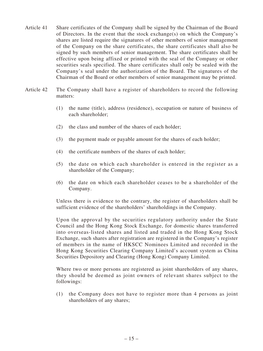- Article 41 Share certificates of the Company shall be signed by the Chairman of the Board of Directors. In the event that the stock exchange(s) on which the Company's shares are listed require the signatures of other members of senior management of the Company on the share certificates, the share certificates shall also be signed by such members of senior management. The share certificates shall be effective upon being affixed or printed with the seal of the Company or other securities seals specified. The share certificates shall only be sealed with the Company's seal under the authorization of the Board. The signatures of the Chairman of the Board or other members of senior management may be printed.
- Article 42 The Company shall have a register of shareholders to record the following matters:
	- (1) the name (title), address (residence), occupation or nature of business of each shareholder;
	- (2) the class and number of the shares of each holder;
	- (3) the payment made or payable amount for the shares of each holder;
	- (4) the certificate numbers of the shares of each holder;
	- (5) the date on which each shareholder is entered in the register as a shareholder of the Company;
	- (6) the date on which each shareholder ceases to be a shareholder of the Company.

Unless there is evidence to the contrary, the register of shareholders shall be sufficient evidence of the shareholders' shareholdings in the Company.

Upon the approval by the securities regulatory authority under the State Council and the Hong Kong Stock Exchange, for domestic shares transferred into overseas-listed shares and listed and traded in the Hong Kong Stock Exchange, such shares after registration are registered in the Company's register of members in the name of HKSCC Nominees Limited and recorded in the Hong Kong Securities Clearing Company Limited's account system as China Securities Depository and Clearing (Hong Kong) Company Limited.

Where two or more persons are registered as joint shareholders of any shares, they should be deemed as joint owners of relevant shares subject to the followings:

(1) the Company does not have to register more than 4 persons as joint shareholders of any shares;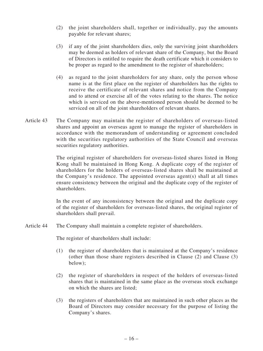- (2) the joint shareholders shall, together or individually, pay the amounts payable for relevant shares;
- (3) if any of the joint shareholders dies, only the surviving joint shareholders may be deemed as holders of relevant share of the Company, but the Board of Directors is entitled to require the death certificate which it considers to be proper as regard to the amendment to the register of shareholders;
- (4) as regard to the joint shareholders for any share, only the person whose name is at the first place on the register of shareholders has the rights to receive the certificate of relevant shares and notice from the Company and to attend or exercise all of the votes relating to the shares. The notice which is serviced on the above-mentioned person should be deemed to be serviced on all of the joint shareholders of relevant shares.
- Article 43 The Company may maintain the register of shareholders of overseas-listed shares and appoint an overseas agent to manage the register of shareholders in accordance with the memorandum of understanding or agreement concluded with the securities regulatory authorities of the State Council and overseas securities regulatory authorities.

The original register of shareholders for overseas-listed shares listed in Hong Kong shall be maintained in Hong Kong. A duplicate copy of the register of shareholders for the holders of overseas-listed shares shall be maintained at the Company's residence. The appointed overseas agent(s) shall at all times ensure consistency between the original and the duplicate copy of the register of shareholders.

In the event of any inconsistency between the original and the duplicate copy of the register of shareholders for overseas-listed shares, the original register of shareholders shall prevail.

Article 44 The Company shall maintain a complete register of shareholders.

The register of shareholders shall include:

- (1) the register of shareholders that is maintained at the Company's residence (other than those share registers described in Clause (2) and Clause (3) below);
- (2) the register of shareholders in respect of the holders of overseas-listed shares that is maintained in the same place as the overseas stock exchange on which the shares are listed;
- (3) the registers of shareholders that are maintained in such other places as the Board of Directors may consider necessary for the purpose of listing the Company's shares.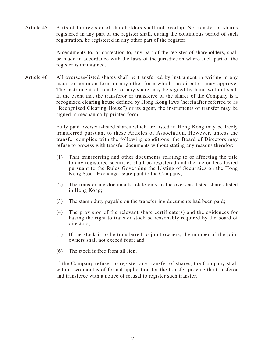Article 45 Parts of the register of shareholders shall not overlap. No transfer of shares registered in any part of the register shall, during the continuous period of such registration, be registered in any other part of the register.

> Amendments to, or correction to, any part of the register of shareholders, shall be made in accordance with the laws of the jurisdiction where such part of the register is maintained.

Article 46 All overseas-listed shares shall be transferred by instrument in writing in any usual or common form or any other form which the directors may approve. The instrument of transfer of any share may be signed by hand without seal. In the event that the transferor or transferee of the shares of the Company is a recognized clearing house defined by Hong Kong laws (hereinafter referred to as "Recognized Clearing House") or its agent, the instruments of transfer may be signed in mechanically-printed form.

> Fully paid overseas-listed shares which are listed in Hong Kong may be freely transferred pursuant to these Articles of Association. However, unless the transfer complies with the following conditions, the Board of Directors may refuse to process with transfer documents without stating any reasons therefor:

- (1) That transferring and other documents relating to or affecting the title to any registered securities shall be registered and the fee or fees levied pursuant to the Rules Governing the Listing of Securities on the Hong Kong Stock Exchange is/are paid to the Company;
- (2) The transferring documents relate only to the overseas-listed shares listed in Hong Kong;
- (3) The stamp duty payable on the transferring documents had been paid;
- (4) The provision of the relevant share certificate(s) and the evidences for having the right to transfer stock be reasonably required by the board of directors;
- (5) If the stock is to be transferred to joint owners, the number of the joint owners shall not exceed four; and
- (6) The stock is free from all lien.

If the Company refuses to register any transfer of shares, the Company shall within two months of formal application for the transfer provide the transferor and transferee with a notice of refusal to register such transfer.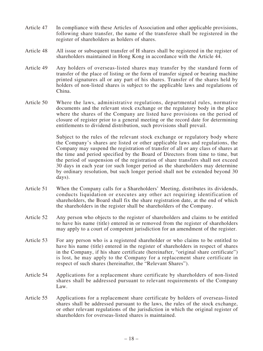- Article 47 In compliance with these Articles of Association and other applicable provisions, following share transfer, the name of the transferee shall be registered in the register of shareholders as holders of shares.
- Article 48 All issue or subsequent transfer of H shares shall be registered in the register of shareholders maintained in Hong Kong in accordance with the Article 44.
- Article 49 Any holders of overseas-listed shares may transfer by the standard form of transfer of the place of listing or the form of transfer signed or bearing machine printed signatures all or any part of his shares. Transfer of the shares held by holders of non-listed shares is subject to the applicable laws and regulations of China.
- Article 50 Where the laws, administrative regulations, departmental rules, normative documents and the relevant stock exchange or the regulatory body in the place where the shares of the Company are listed have provisions on the period of closure of register prior to a general meeting or the record date for determining entitlements to dividend distribution, such provisions shall prevail.

Subject to the rules of the relevant stock exchange or regulatory body where the Company's shares are listed or other applicable laws and regulations, the Company may suspend the registration of transfer of all or any class of shares at the time and period specified by the Board of Directors from time to time, but the period of suspension of the registration of share transfers shall not exceed 30 days in each year (or such longer period as the shareholders may determine by ordinary resolution, but such longer period shall not be extended beyond 30 days).

- Article 51 When the Company calls for a Shareholders' Meeting, distributes its dividends, conducts liquidation or executes any other act requiring identification of shareholders, the Board shall fix the share registration date, at the end of which the shareholders in the register shall be shareholders of the Company.
- Article 52 Any person who objects to the register of shareholders and claims to be entitled to have his name (title) entered in or removed from the register of shareholders may apply to a court of competent jurisdiction for an amendment of the register.
- Article 53 For any person who is a registered shareholder or who claims to be entitled to have his name (title) entered in the register of shareholders in respect of shares in the Company, if his share certificate (hereinafter, "original share certificate") is lost, he may apply to the Company for a replacement share certificate in respect of such shares (hereinafter, the "Relevant Shares").
- Article 54 Applications for a replacement share certificate by shareholders of non-listed shares shall be addressed pursuant to relevant requirements of the Company Law.
- Article 55 Applications for a replacement share certificate by holders of overseas-listed shares shall be addressed pursuant to the laws, the rules of the stock exchange, or other relevant regulations of the jurisdiction in which the original register of shareholders for overseas-listed shares is maintained.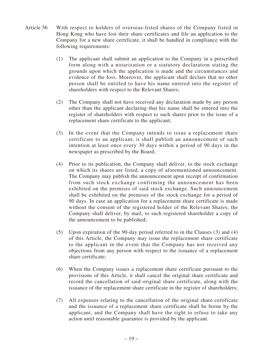- Article 56 With respect to holders of overseas-listed shares of the Company listed in Hong Kong who have lost their share certificates and file an application to the Company for a new share certificate, it shall be handled in compliance with the following requirements:
	- (1) The applicant shall submit an application to the Company in a prescribed form along with a notarization or a statutory declaration stating the grounds upon which the application is made and the circumstances and evidence of the loss. Moreover, the applicant shall declare that no other person shall be entitled to have his name entered into the register of shareholders with respect to the Relevant Shares;
	- (2) The Company shall not have received any declaration made by any person other than the applicant declaring that his name shall be entered into the register of shareholders with respect to such shares prior to the issue of a replacement share certificate to the applicant;
	- (3) In the event that the Company intends to issue a replacement share certificate to an applicant, it shall publish an announcement of such intention at least once every 30 days within a period of 90 days in the newspaper as prescribed by the Board;
	- (4) Prior to its publication, the Company shall deliver, to the stock exchange on which its shares are listed, a copy of aforementioned announcement. The Company may publish the announcement upon receipt of confirmation from such stock exchange confirming the announcement has been exhibited on the premises of said stock exchange. Such announcement shall be exhibited on the premises of the stock exchange for a period of 90 days. In case an application for a replacement share certificate is made without the consent of the registered holder of the Relevant Shares, the Company shall deliver, by mail, to such registered shareholder a copy of the announcement to be published;
	- (5) Upon expiration of the 90-day period referred to in the Clauses (3) and (4) of this Article, the Company may issue the replacement share certificate to the applicant in the event that the Company has not received any objections from any person with respect to the issuance of a replacement share certificate;
	- (6) When the Company issues a replacement share certificate pursuant to the provisions of this Article, it shall cancel the original share certificate and record the cancellation of said original share certificate, along with the issuance of the replacement share certificate in the register of shareholders;
	- (7) All expenses relating to the cancellation of the original share certificate and the issuance of a replacement share certificate shall be borne by the applicant, and the Company shall have the right to refuse to take any action until reasonable guarantee is provided by the applicant.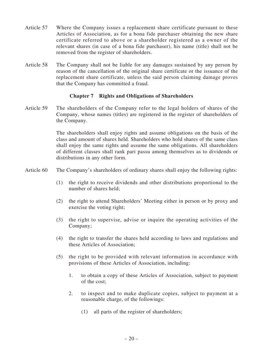- Article 57 Where the Company issues a replacement share certificate pursuant to these Articles of Association, as for a bona fide purchaser obtaining the new share certificate referred to above or a shareholder registered as a owner of the relevant shares (in case of a bona fide purchaser), his name (title) shall not be removed from the register of shareholders.
- Article 58 The Company shall not be liable for any damages sustained by any person by reason of the cancellation of the original share certificate or the issuance of the replacement share certificate, unless the said person claiming damage proves that the Company has committed a fraud.

# **Chapter 7 Rights and Obligations of Shareholders**

Article 59 The shareholders of the Company refer to the legal holders of shares of the Company, whose names (titles) are registered in the register of shareholders of the Company.

> The shareholders shall enjoy rights and assume obligations on the basis of the class and amount of shares held. Shareholders who hold shares of the same class shall enjoy the same rights and assume the same obligations. All shareholders of different classes shall rank pari passu among themselves as to dividends or distributions in any other form.

- Article 60 The Company's shareholders of ordinary shares shall enjoy the following rights:
	- (1) the right to receive dividends and other distributions proportional to the number of shares held;
	- (2) the right to attend Shareholders' Meeting either in person or by proxy and exercise the voting right;
	- (3) the right to supervise, advise or inquire the operating activities of the Company;
	- (4) the right to transfer the shares held according to laws and regulations and these Articles of Association;
	- (5) the right to be provided with relevant information in accordance with provisions of these Articles of Association, including:
		- 1. to obtain a copy of these Articles of Association, subject to payment of the cost;
		- 2. to inspect and to make duplicate copies, subject to payment at a reasonable charge, of the followings:
			- (1) all parts of the register of shareholders;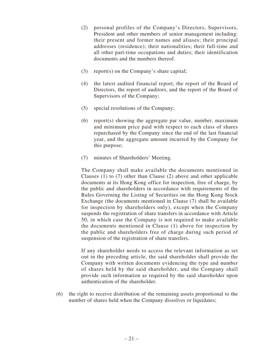- (2) personal profiles of the Company's Directors, Supervisors, President and other members of senior management including: their present and former names and aliases; their principal addresses (residence); their nationalities; their full-time and all other part-time occupations and duties; their identification documents and the numbers thereof.
- (3) report(s) on the Company's share capital;
- (4) the latest audited financial report, the report of the Board of Directors, the report of auditors, and the report of the Board of Supervisors of the Company;
- (5) special resolutions of the Company;
- (6) report(s) showing the aggregate par value, number, maximum and minimum price paid with respect to each class of shares repurchased by the Company since the end of the last financial year, and the aggregate amount incurred by the Company for this purpose;
- (7) minutes of Shareholders' Meeting.

The Company shall make available the documents mentioned in Clauses (1) to (7) other than Clause (2) above and other applicable documents at its Hong Kong office for inspection, free of charge, by the public and shareholders in accordance with requirements of the Rules Governing the Listing of Securities on the Hong Kong Stock Exchange (the documents mentioned in Clause (7) shall be available for inspection by shareholders only), except when the Company suspends the registration of share transfers in accordance with Article 50, in which case the Company is not required to make available the documents mentioned in Clause (1) above for inspection by the public and shareholders free of charge during such period of suspension of the registration of share transfers.

If any shareholder needs to access the relevant information as set out in the preceding article, the said shareholder shall provide the Company with written documents evidencing the type and number of shares held by the said shareholder, and the Company shall provide such information as required by the said shareholder upon authentication of the shareholder.

(6) the right to receive distribution of the remaining assets proportional to the number of shares held when the Company dissolves or liquidates;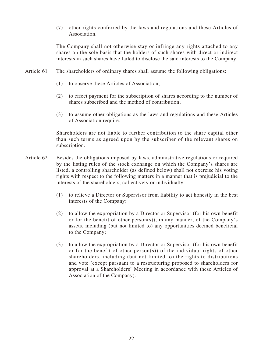(7) other rights conferred by the laws and regulations and these Articles of Association.

The Company shall not otherwise stay or infringe any rights attached to any shares on the sole basis that the holders of such shares with direct or indirect interests in such shares have failed to disclose the said interests to the Company.

- Article 61 The shareholders of ordinary shares shall assume the following obligations:
	- (1) to observe these Articles of Association;
	- (2) to effect payment for the subscription of shares according to the number of shares subscribed and the method of contribution;
	- (3) to assume other obligations as the laws and regulations and these Articles of Association require.

Shareholders are not liable to further contribution to the share capital other than such terms as agreed upon by the subscriber of the relevant shares on subscription.

- Article 62 Besides the obligations imposed by laws, administrative regulations or required by the listing rules of the stock exchange on which the Company's shares are listed, a controlling shareholder (as defined below) shall not exercise his voting rights with respect to the following matters in a manner that is prejudicial to the interests of the shareholders, collectively or individually:
	- (1) to relieve a Director or Supervisor from liability to act honestly in the best interests of the Company;
	- (2) to allow the expropriation by a Director or Supervisor (for his own benefit or for the benefit of other person(s)), in any manner, of the Company's assets, including (but not limited to) any opportunities deemed beneficial to the Company;
	- (3) to allow the expropriation by a Director or Supervisor (for his own benefit or for the benefit of other person(s)) of the individual rights of other shareholders, including (but not limited to) the rights to distributions and vote (except pursuant to a restructuring proposed to shareholders for approval at a Shareholders' Meeting in accordance with these Articles of Association of the Company).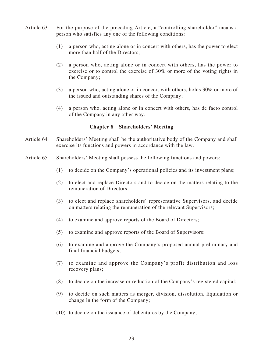- Article 63 For the purpose of the preceding Article, a "controlling shareholder" means a person who satisfies any one of the following conditions:
	- (1) a person who, acting alone or in concert with others, has the power to elect more than half of the Directors;
	- (2) a person who, acting alone or in concert with others, has the power to exercise or to control the exercise of 30% or more of the voting rights in the Company;
	- (3) a person who, acting alone or in concert with others, holds 30% or more of the issued and outstanding shares of the Company;
	- (4) a person who, acting alone or in concert with others, has de facto control of the Company in any other way.

#### **Chapter 8 Shareholders' Meeting**

- Article 64 Shareholders' Meeting shall be the authoritative body of the Company and shall exercise its functions and powers in accordance with the law.
- Article 65 Shareholders' Meeting shall possess the following functions and powers:
	- (1) to decide on the Company's operational policies and its investment plans;
	- (2) to elect and replace Directors and to decide on the matters relating to the remuneration of Directors;
	- (3) to elect and replace shareholders' representative Supervisors, and decide on matters relating the remuneration of the relevant Supervisors;
	- (4) to examine and approve reports of the Board of Directors;
	- (5) to examine and approve reports of the Board of Supervisors;
	- (6) to examine and approve the Company's proposed annual preliminary and final financial budgets;
	- (7) to examine and approve the Company's profit distribution and loss recovery plans;
	- (8) to decide on the increase or reduction of the Company's registered capital;
	- (9) to decide on such matters as merger, division, dissolution, liquidation or change in the form of the Company;
	- (10) to decide on the issuance of debentures by the Company;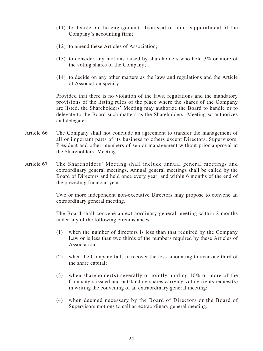- (11) to decide on the engagement, dismissal or non-reappointment of the Company's accounting firm;
- (12) to amend these Articles of Association;
- (13) to consider any motions raised by shareholders who hold 3% or more of the voting shares of the Company;
- (14) to decide on any other matters as the laws and regulations and the Article of Association specify.

Provided that there is no violation of the laws, regulations and the mandatory provisions of the listing rules of the place where the shares of the Company are listed, the Shareholders' Meeting may authorize the Board to handle or to delegate to the Board such matters as the Shareholders' Meeting so authorizes and delegates.

- Article 66 The Company shall not conclude an agreement to transfer the management of all or important parts of its business to others except Directors, Supervisors, President and other members of senior management without prior approval at the Shareholders' Meeting.
- Article 67 The Shareholders' Meeting shall include annual general meetings and extraordinary general meetings. Annual general meetings shall be called by the Board of Directors and held once every year, and within 6 months of the end of the preceding financial year.

Two or more independent non-executive Directors may propose to convene an extraordinary general meeting.

The Board shall convene an extraordinary general meeting within 2 months under any of the following circumstances:

- (1) when the number of directors is less than that required by the Company Law or is less than two thirds of the numbers required by these Articles of Association;
- (2) when the Company fails to recover the loss amounting to over one third of the share capital;
- (3) when shareholder(s) severally or jointly holding 10% or more of the Company's issued and outstanding shares carrying voting rights request(s) in writing the convening of an extraordinary general meeting;
- (4) when deemed necessary by the Board of Directors or the Board of Supervisors motions to call an extraordinary general meeting.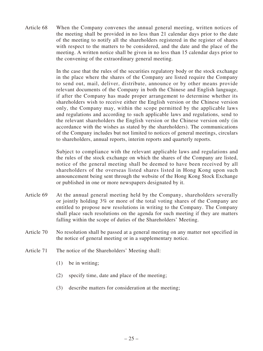Article 68 When the Company convenes the annual general meeting, written notices of the meeting shall be provided in no less than 21 calendar days prior to the date of the meeting to notify all the shareholders registered in the register of shares with respect to the matters to be considered, and the date and the place of the meeting. A written notice shall be given in no less than 15 calendar days prior to the convening of the extraordinary general meeting.

> In the case that the rules of the securities regulatory body or the stock exchange in the place where the shares of the Company are listed require the Company to send out, mail, deliver, distribute, announce or by other means provide relevant documents of the Company in both the Chinese and English language, if after the Company has made proper arrangement to determine whether its shareholders wish to receive either the English version or the Chinese version only, the Company may, within the scope permitted by the applicable laws and regulations and according to such applicable laws and regulations, send to the relevant shareholders the English version or the Chinese version only (in accordance with the wishes as stated by the shareholders). The communications of the Company includes but not limited to notices of general meetings, circulars to shareholders, annual reports, interim reports and quarterly reports.

> Subject to compliance with the relevant applicable laws and regulations and the rules of the stock exchange on which the shares of the Company are listed, notice of the general meeting shall be deemed to have been received by all shareholders of the overseas listed shares listed in Hong Kong upon such announcement being sent through the website of the Hong Kong Stock Exchange or published in one or more newspapers designated by it.

- Article 69 At the annual general meeting held by the Company, shareholders severally or jointly holding 3% or more of the total voting shares of the Company are entitled to propose new resolutions in writing to the Company. The Company shall place such resolutions on the agenda for such meeting if they are matters falling within the scope of duties of the Shareholders' Meeting.
- Article 70 No resolution shall be passed at a general meeting on any matter not specified in the notice of general meeting or in a supplementary notice.
- Article 71 The notice of the Shareholders' Meeting shall:
	- (1) be in writing;
	- (2) specify time, date and place of the meeting;
	- (3) describe matters for consideration at the meeting;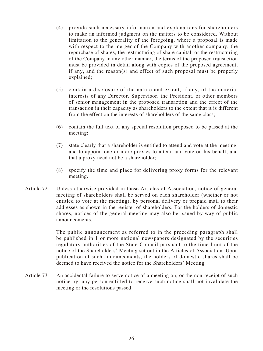- (4) provide such necessary information and explanations for shareholders to make an informed judgment on the matters to be considered. Without limitation to the generality of the foregoing, where a proposal is made with respect to the merger of the Company with another company, the repurchase of shares, the restructuring of share capital, or the restructuring of the Company in any other manner, the terms of the proposed transaction must be provided in detail along with copies of the proposed agreement, if any, and the reason(s) and effect of such proposal must be properly explained;
- (5) contain a disclosure of the nature and extent, if any, of the material interests of any Director, Supervisor, the President, or other members of senior management in the proposed transaction and the effect of the transaction in their capacity as shareholders to the extent that it is different from the effect on the interests of shareholders of the same class;
- (6) contain the full text of any special resolution proposed to be passed at the meeting;
- (7) state clearly that a shareholder is entitled to attend and vote at the meeting, and to appoint one or more proxies to attend and vote on his behalf, and that a proxy need not be a shareholder;
- (8) specify the time and place for delivering proxy forms for the relevant meeting.
- Article 72 Unless otherwise provided in these Articles of Association, notice of general meeting of shareholders shall be served on each shareholder (whether or not entitled to vote at the meeting), by personal delivery or prepaid mail to their addresses as shown in the register of shareholders. For the holders of domestic shares, notices of the general meeting may also be issued by way of public announcements.

The public announcement as referred to in the preceding paragraph shall be published in 1 or more national newspapers designated by the securities regulatory authorities of the State Council pursuant to the time limit of the notice of the Shareholders' Meeting set out in the Articles of Association. Upon publication of such announcements, the holders of domestic shares shall be deemed to have received the notice for the Shareholders' Meeting.

Article 73 An accidental failure to serve notice of a meeting on, or the non-receipt of such notice by, any person entitled to receive such notice shall not invalidate the meeting or the resolutions passed.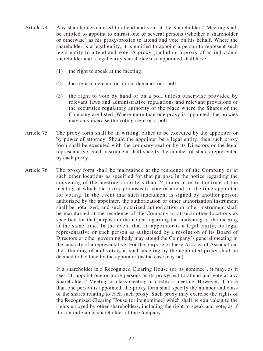- Article 74 Any shareholder entitled to attend and vote at the Shareholders' Meeting shall be entitled to appoint to entrust one or several persons (whether a shareholder or otherwise) as his proxy/proxies to attend and vote on his behalf. Where the shareholder is a legal entity, it is entitled to appoint a person to represent such legal entity to attend and vote. A proxy (including a proxy of an individual shareholder and a legal entity shareholder) so appointed shall have:
	- (1) the right to speak at the meeting;
	- (2) the right to demand or join in demand for a poll;
	- (3) the right to vote by hand or on a poll unless otherwise provided by relevant laws and administrative regulations and relevant provisions of the securities regulatory authority of the place where the Shares of the Company are listed. Where more than one proxy is appointed, the proxies may only exercise the voting right on a poll.
- Article 75 The proxy form shall be in writing, either to be executed by the appointer or by power of attorney. Should the appointer be a legal entity, then such proxy form shall be executed with the company seal or by its Directors or the legal representative. Such instrument shall specify the number of shares represented by each proxy.
- Article 76 The proxy form shall be maintained at the residence of the Company or at such other locations as specified for that purpose in the notice regarding the convening of the meeting in no less than 24 hours prior to the time of the meeting at which the proxy proposes to vote or attend, or the time appointed for voting. In the event that such instrument is signed by another person authorized by the appointer, the authorization or other authorization instrument shall be notarized, and such notarized authorization or other instrument shall be maintained at the residence of the Company or at such other locations as specified for that purpose in the notice regarding the convening of the meeting at the same time. In the event that an appointer is a legal entity, its legal representative or such person as authorized by a resolution of its Board of Directors or other governing body may attend the Company's general meeting in the capacity of a representative. For the purpose of these Articles of Association, the attending of and voting at such meeting by the appointed proxy shall be deemed to be done by the appointer (as the case may be).

If a shareholder is a Recognized Clearing House (or its nominee), it may, as it sees fit, appoint one or more persons as its proxy(ies) to attend and vote at any Shareholders' Meeting or class meeting or creditors meeting. However, if more than one person is appointed, the proxy form shall specify the number and class of the shares relating to each such proxy. Such proxy may exercise the rights of the Recognized Clearing House (or its nominee) which shall be equivalent to the rights enjoyed by other shareholders, including the right to speak and vote, as if it is an individual shareholder of the Company.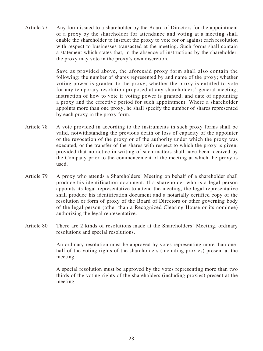Article 77 Any form issued to a shareholder by the Board of Directors for the appointment of a proxy by the shareholder for attendance and voting at a meeting shall enable the shareholder to instruct the proxy to vote for or against each resolution with respect to businesses transacted at the meeting. Such forms shall contain a statement which states that, in the absence of instructions by the shareholder, the proxy may vote in the proxy's own discretion.

> Save as provided above, the aforesaid proxy form shall also contain the following: the number of shares represented by and name of the proxy; whether voting power is granted to the proxy; whether the proxy is entitled to vote for any temporary resolution proposed at any shareholders' general meeting; instruction of how to vote if voting power is granted; and date of appointing a proxy and the effective period for such appointment. Where a shareholder appoints more than one proxy, he shall specify the number of shares represented by each proxy in the proxy form.

- Article 78 A vote provided in according to the instruments in such proxy forms shall be valid, notwithstanding the previous death or loss of capacity of the appointer or the revocation of the proxy or of the authority under which the proxy was executed, or the transfer of the shares with respect to which the proxy is given, provided that no notice in writing of such matters shall have been received by the Company prior to the commencement of the meeting at which the proxy is used.
- Article 79 A proxy who attends a Shareholders' Meeting on behalf of a shareholder shall produce his identification document. If a shareholder who is a legal person appoints its legal representative to attend the meeting, the legal representative shall produce his identification document and a notarially certified copy of the resolution or form of proxy of the Board of Directors or other governing body of the legal person (other than a Recognized Clearing House or its nominee) authorizing the legal representative.
- Article 80 There are 2 kinds of resolutions made at the Shareholders' Meeting, ordinary resolutions and special resolutions.

An ordinary resolution must be approved by votes representing more than onehalf of the voting rights of the shareholders (including proxies) present at the meeting.

A special resolution must be approved by the votes representing more than two thirds of the voting rights of the shareholders (including proxies) present at the meeting.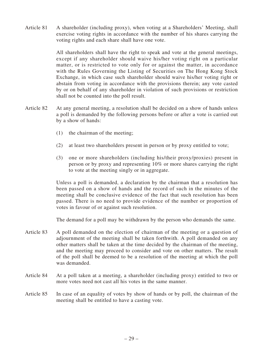Article 81 A shareholder (including proxy), when voting at a Shareholders' Meeting, shall exercise voting rights in accordance with the number of his shares carrying the voting rights and each share shall have one vote.

> All shareholders shall have the right to speak and vote at the general meetings, except if any shareholder should waive his/her voting right on a particular matter, or is restricted to vote only for or against the matter, in accordance with the Rules Governing the Listing of Securities on The Hong Kong Stock Exchange, in which case such shareholder should waive his/her voting right or abstain from voting in accordance with the provisions therein; any vote casted by or on behalf of any shareholder in violation of such provisions or restriction shall not be counted into the poll result.

- Article 82 At any general meeting, a resolution shall be decided on a show of hands unless a poll is demanded by the following persons before or after a vote is carried out by a show of hands:
	- (1) the chairman of the meeting;
	- (2) at least two shareholders present in person or by proxy entitled to vote;
	- (3) one or more shareholders (including his/their proxy/proxies) present in person or by proxy and representing 10% or more shares carrying the right to vote at the meeting singly or in aggregate.

Unless a poll is demanded, a declaration by the chairman that a resolution has been passed on a show of hands and the record of such in the minutes of the meeting shall be conclusive evidence of the fact that such resolution has been passed. There is no need to provide evidence of the number or proportion of votes in favour of or against such resolution.

The demand for a poll may be withdrawn by the person who demands the same.

- Article 83 A poll demanded on the election of chairman of the meeting or a question of adjournment of the meeting shall be taken forthwith. A poll demanded on any other matters shall be taken at the time decided by the chairman of the meeting, and the meeting may proceed to consider and vote on other matters. The result of the poll shall be deemed to be a resolution of the meeting at which the poll was demanded.
- Article 84 At a poll taken at a meeting, a shareholder (including proxy) entitled to two or more votes need not cast all his votes in the same manner.
- Article 85 In case of an equality of votes by show of hands or by poll, the chairman of the meeting shall be entitled to have a casting vote.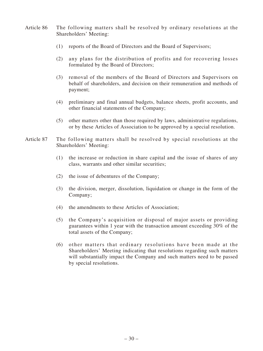- Article 86 The following matters shall be resolved by ordinary resolutions at the Shareholders' Meeting:
	- (1) reports of the Board of Directors and the Board of Supervisors;
	- (2) any plans for the distribution of profits and for recovering losses formulated by the Board of Directors;
	- (3) removal of the members of the Board of Directors and Supervisors on behalf of shareholders, and decision on their remuneration and methods of payment;
	- (4) preliminary and final annual budgets, balance sheets, profit accounts, and other financial statements of the Company;
	- (5) other matters other than those required by laws, administrative regulations, or by these Articles of Association to be approved by a special resolution.
- Article 87 The following matters shall be resolved by special resolutions at the Shareholders' Meeting:
	- (1) the increase or reduction in share capital and the issue of shares of any class, warrants and other similar securities;
	- (2) the issue of debentures of the Company;
	- (3) the division, merger, dissolution, liquidation or change in the form of the Company;
	- (4) the amendments to these Articles of Association;
	- (5) the Company's acquisition or disposal of major assets or providing guarantees within 1 year with the transaction amount exceeding 30% of the total assets of the Company;
	- (6) other matters that ordinary resolutions have been made at the Shareholders' Meeting indicating that resolutions regarding such matters will substantially impact the Company and such matters need to be passed by special resolutions.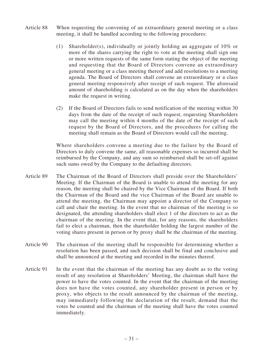- Article 88 When requesting the convening of an extraordinary general meeting or a class meeting, it shall be handled according to the following procedures:
	- (1) Shareholder(s), individually or jointly holding an aggregate of  $10\%$  or more of the shares carrying the right to vote at the meeting shall sign one or more written requests of the same form stating the object of the meeting and requesting that the Board of Directors convene an extraordinary general meeting or a class meeting thereof and add resolutions to a meeting agenda. The Board of Directors shall convene an extraordinary or a class general meeting responsively after receipt of such request. The aforesaid amount of shareholding is calculated as on the day when the shareholders make the request in writing.
	- (2) If the Board of Directors fails to send notification of the meeting within 30 days from the date of the receipt of such request, requesting Shareholders may call the meeting within 4 months of the date of the receipt of such request by the Board of Directors, and the procedures for calling the meeting shall remain as the Board of Directors would call the meeting.

Where shareholders convene a meeting due to the failure by the Board of Directors to duly convene the same, all reasonable expenses so incurred shall be reimbursed by the Company, and any sum so reimbursed shall be set-off against such sums owed by the Company to the defaulting directors.

- Article 89 The Chairman of the Board of Directors shall preside over the Shareholders' Meeting. If the Chairman of the Board is unable to attend the meeting for any reason, the meeting shall be chaired by the Vice Chairman of the Board. If both the Chairman of the Board and the vice Chairman of the Board are unable to attend the meeting, the Chairman may appoint a director of the Company to call and chair the meeting. In the event that no chairman of the meeting is so designated, the attending shareholders shall elect 1 of the directors to act as the chairman of the meeting. In the event that, for any reasons, the shareholders fail to elect a chairman, then the shareholder holding the largest number of the voting shares present in person or by proxy shall be the chairman of the meeting.
- Article 90 The chairman of the meeting shall be responsible for determining whether a resolution has been passed, and such decision shall be final and conclusive and shall be announced at the meeting and recorded in the minutes thereof.
- Article 91 In the event that the chairman of the meeting has any doubt as to the voting result of any resolution at Shareholders' Meeting, the chairman shall have the power to have the votes counted. In the event that the chairman of the meeting does not have the votes counted, any shareholder present in person or by proxy, who objects to the result announced by the chairman of the meeting, may immediately following the declaration of the result, demand that the votes be counted and the chairman of the meeting shall have the votes counted immediately.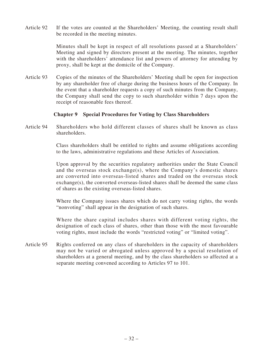Article 92 If the votes are counted at the Shareholders' Meeting, the counting result shall be recorded in the meeting minutes.

> Minutes shall be kept in respect of all resolutions passed at a Shareholders' Meeting and signed by directors present at the meeting. The minutes, together with the shareholders' attendance list and powers of attorney for attending by proxy, shall be kept at the domicile of the Company.

Article 93 Copies of the minutes of the Shareholders' Meeting shall be open for inspection by any shareholder free of charge during the business hours of the Company. In the event that a shareholder requests a copy of such minutes from the Company, the Company shall send the copy to such shareholder within 7 days upon the receipt of reasonable fees thereof.

# **Chapter 9 Special Procedures for Voting by Class Shareholders**

Article 94 Shareholders who hold different classes of shares shall be known as class shareholders.

> Class shareholders shall be entitled to rights and assume obligations according to the laws, administrative regulations and these Articles of Association.

> Upon approval by the securities regulatory authorities under the State Council and the overseas stock exchange(s), where the Company's domestic shares are converted into overseas-listed shares and traded on the overseas stock exchange(s), the converted overseas-listed shares shall be deemed the same class of shares as the existing overseas-listed shares.

> Where the Company issues shares which do not carry voting rights, the words "nonvoting" shall appear in the designation of such shares.

> Where the share capital includes shares with different voting rights, the designation of each class of shares, other than those with the most favourable voting rights, must include the words "restricted voting" or "limited voting".

Article 95 Rights conferred on any class of shareholders in the capacity of shareholders may not be varied or abrogated unless approved by a special resolution of shareholders at a general meeting, and by the class shareholders so affected at a separate meeting convened according to Articles 97 to 101.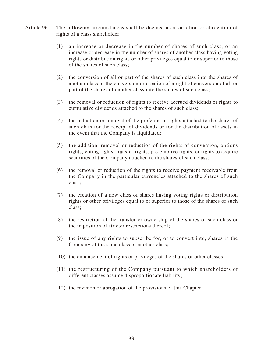- Article 96 The following circumstances shall be deemed as a variation or abrogation of rights of a class shareholder:
	- (1) an increase or decrease in the number of shares of such class, or an increase or decrease in the number of shares of another class having voting rights or distribution rights or other privileges equal to or superior to those of the shares of such class;
	- (2) the conversion of all or part of the shares of such class into the shares of another class or the conversion or creation of a right of conversion of all or part of the shares of another class into the shares of such class;
	- (3) the removal or reduction of rights to receive accrued dividends or rights to cumulative dividends attached to the shares of such class;
	- (4) the reduction or removal of the preferential rights attached to the shares of such class for the receipt of dividends or for the distribution of assets in the event that the Company is liquidated;
	- (5) the addition, removal or reduction of the rights of conversion, options rights, voting rights, transfer rights, pre-emptive rights, or rights to acquire securities of the Company attached to the shares of such class;
	- (6) the removal or reduction of the rights to receive payment receivable from the Company in the particular currencies attached to the shares of such class;
	- (7) the creation of a new class of shares having voting rights or distribution rights or other privileges equal to or superior to those of the shares of such class;
	- (8) the restriction of the transfer or ownership of the shares of such class or the imposition of stricter restrictions thereof;
	- (9) the issue of any rights to subscribe for, or to convert into, shares in the Company of the same class or another class;
	- (10) the enhancement of rights or privileges of the shares of other classes;
	- (11) the restructuring of the Company pursuant to which shareholders of different classes assume disproportionate liability;
	- (12) the revision or abrogation of the provisions of this Chapter.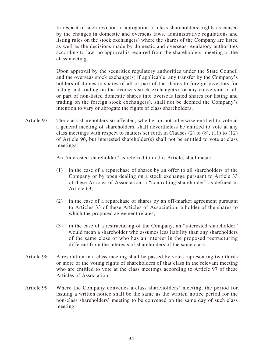In respect of such revision or abrogation of class shareholders' rights as caused by the changes in domestic and overseas laws, administrative regulations and listing rules on the stock exchange(s) where the shares of the Company are listed as well as the decisions made by domestic and overseas regulatory authorities according to law, no approval is required from the shareholders' meeting or the class meeting.

Upon approval by the securities regulatory authorities under the State Council and the overseas stock exchange(s) if applicable, any transfer by the Company's holders of domestic shares of all or part of the shares to foreign investors for listing and trading on the overseas stock exchange(s), or any conversion of all or part of non-listed domestic shares into overseas listed shares for listing and trading on the foreign stock exchange(s), shall not be deemed the Company's intention to vary or abrogate the rights of class shareholders.

Article 97 The class shareholders so affected, whether or not otherwise entitled to vote at a general meeting of shareholders, shall nevertheless be entitled to vote at any class meetings with respect to matters set forth in Clauses (2) to (8), (11) to (12) of Article 96, but interested shareholder(s) shall not be entitled to vote at class meetings.

An "interested shareholder" as referred to in this Article, shall mean:

- (1) in the case of a repurchase of shares by an offer to all shareholders of the Company or by open dealing on a stock exchange pursuant to Article 33 of these Articles of Association, a "controlling shareholder" as defined in Article 63;
- (2) in the case of a repurchase of shares by an off-market agreement pursuant to Articles 33 of these Articles of Association, a holder of the shares to which the proposed agreement relates;
- (3) in the case of a restructuring of the Company, an "interested shareholder" would mean a shareholder who assumes less liability than any shareholders of the same class or who has an interest in the proposed restructuring different from the interests of shareholders of the same class.
- Article 98 A resolution in a class meeting shall be passed by votes representing two thirds or more of the voting rights of shareholders of that class in the relevant meeting who are entitled to vote at the class meetings according to Article 97 of these Articles of Association.
- Article 99 Where the Company convenes a class shareholders' meeting, the period for issuing a written notice shall be the same as the written notice period for the non-class shareholders' meeting to be convened on the same day of such class meeting.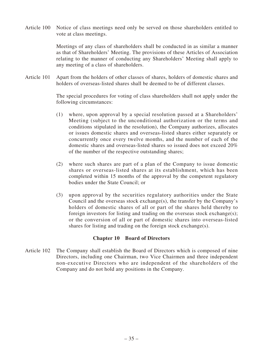Article 100 Notice of class meetings need only be served on those shareholders entitled to vote at class meetings.

> Meetings of any class of shareholders shall be conducted in as similar a manner as that of Shareholders' Meeting. The provisions of these Articles of Association relating to the manner of conducting any Shareholders' Meeting shall apply to any meeting of a class of shareholders.

Article 101 Apart from the holders of other classes of shares, holders of domestic shares and holders of overseas-listed shares shall be deemed to be of different classes.

> The special procedures for voting of class shareholders shall not apply under the following circumstances:

- (1) where, upon approval by a special resolution passed at a Shareholders' Meeting (subject to the unconditional authorization or the terms and conditions stipulated in the resolution), the Company authorizes, allocates or issues domestic shares and overseas-listed shares either separately or concurrently once every twelve months, and the number of each of the domestic shares and overseas-listed shares so issued does not exceed 20% of the number of the respective outstanding shares;
- (2) where such shares are part of a plan of the Company to issue domestic shares or overseas-listed shares at its establishment, which has been completed within 15 months of the approval by the competent regulatory bodies under the State Council; or
- (3) upon approval by the securities regulatory authorities under the State Council and the overseas stock exchange(s), the transfer by the Company's holders of domestic shares of all or part of the shares held thereby to foreign investors for listing and trading on the overseas stock exchange(s); or the conversion of all or part of domestic shares into overseas-listed shares for listing and trading on the foreign stock exchange(s).

# **Chapter 10 Board of Directors**

Article 102 The Company shall establish the Board of Directors which is composed of nine Directors, including one Chairman, two Vice Chairmen and three independent non-executive Directors who are independent of the shareholders of the Company and do not hold any positions in the Company.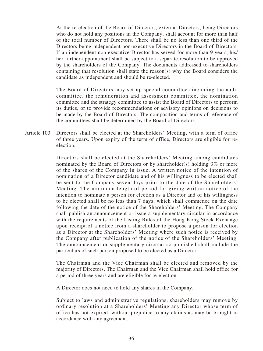At the re-election of the Board of Directors, external Directors, being Directors who do not hold any positions in the Company, shall account for more than half of the total number of Directors. There shall be no less than one third of the Directors being independent non-executive Directors in the Board of Directors. If an independent non-executive Director has served for more than 9 years, his/ her further appointment shall be subject to a separate resolution to be approved by the shareholders of the Company. The documents addressed to shareholders containing that resolution shall state the reason(s) why the Board considers the candidate as independent and should be re-elected.

The Board of Directors may set up special committees including the audit committee, the remuneration and assessment committee, the nomination committee and the strategy committee to assist the Board of Directors to perform its duties, or to provide recommendations or advisory opinions on decisions to be made by the Board of Directors. The composition and terms of reference of the committees shall be determined by the Board of Directors.

Article 103 Directors shall be elected at the Shareholders' Meeting, with a term of office of three years. Upon expiry of the term of office, Directors are eligible for reelection.

> Directors shall be elected at the Shareholders' Meeting among candidates nominated by the Board of Directors or by shareholder(s) holding 3% or more of the shares of the Company in issue. A written notice of the intention of nomination of a Director candidate and of his willingness to be elected shall be sent to the Company seven days prior to the date of the Shareholders' Meeting. The minimum length of period for giving written notice of the intention to nominate a person for election as a Director and of his willingness to be elected shall be no less than 7 days, which shall commence on the date following the date of the notice of the Shareholders' Meeting. The Company shall publish an announcement or issue a supplementary circular in accordance with the requirements of the Listing Rules of the Hong Kong Stock Exchange upon receipt of a notice from a shareholder to propose a person for election as a Director at the Shareholders' Meeting where such notice is received by the Company after publication of the notice of the Shareholders' Meeting. The announcement or supplementary circular so published shall include the particulars of such person proposed to be elected as a Director.

> The Chairman and the Vice Chairman shall be elected and removed by the majority of Directors. The Chairman and the Vice Chairman shall hold office for a period of three years and are eligible for re-election.

A Director does not need to hold any shares in the Company.

Subject to laws and administrative regulations, shareholders may remove by ordinary resolution at a Shareholders' Meeting any Director whose term of office has not expired, without prejudice to any claims as may be brought in accordance with any agreement.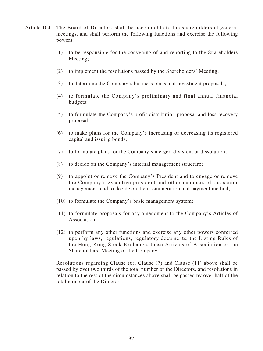- Article 104 The Board of Directors shall be accountable to the shareholders at general meetings, and shall perform the following functions and exercise the following powers:
	- (1) to be responsible for the convening of and reporting to the Shareholders Meeting;
	- (2) to implement the resolutions passed by the Shareholders' Meeting;
	- (3) to determine the Company's business plans and investment proposals;
	- (4) to formulate the Company's preliminary and final annual financial budgets;
	- (5) to formulate the Company's profit distribution proposal and loss recovery proposal;
	- (6) to make plans for the Company's increasing or decreasing its registered capital and issuing bonds;
	- (7) to formulate plans for the Company's merger, division, or dissolution;
	- (8) to decide on the Company's internal management structure;
	- (9) to appoint or remove the Company's President and to engage or remove the Company's executive president and other members of the senior management, and to decide on their remuneration and payment method;
	- (10) to formulate the Company's basic management system;
	- (11) to formulate proposals for any amendment to the Company's Articles of Association;
	- (12) to perform any other functions and exercise any other powers conferred upon by laws, regulations, regulatory documents, the Listing Rules of the Hong Kong Stock Exchange, these Articles of Association or the Shareholders' Meeting of the Company.

Resolutions regarding Clause (6), Clause (7) and Clause (11) above shall be passed by over two thirds of the total number of the Directors, and resolutions in relation to the rest of the circumstances above shall be passed by over half of the total number of the Directors.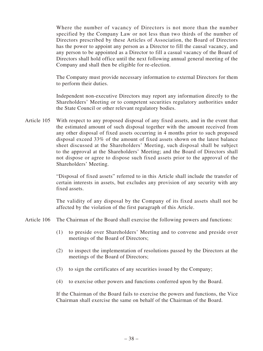Where the number of vacancy of Directors is not more than the number specified by the Company Law or not less than two thirds of the number of Directors prescribed by these Articles of Association, the Board of Directors has the power to appoint any person as a Director to fill the causal vacancy, and any person to be appointed as a Director to fill a casual vacancy of the Board of Directors shall hold office until the next following annual general meeting of the Company and shall then be eligible for re-election.

The Company must provide necessary information to external Directors for them to perform their duties.

Independent non-executive Directors may report any information directly to the Shareholders' Meeting or to competent securities regulatory authorities under the State Council or other relevant regulatory bodies.

Article 105 With respect to any proposed disposal of any fixed assets, and in the event that the estimated amount of such disposal together with the amount received from any other disposal of fixed assets occurring in 4 months prior to such proposed disposal exceed 33% of the amount of fixed assets shown on the latest balance sheet discussed at the Shareholders' Meeting, such disposal shall be subject to the approval at the Shareholders' Meeting; and the Board of Directors shall not dispose or agree to dispose such fixed assets prior to the approval of the Shareholders' Meeting.

> "Disposal of fixed assets" referred to in this Article shall include the transfer of certain interests in assets, but excludes any provision of any security with any fixed assets.

> The validity of any disposal by the Company of its fixed assets shall not be affected by the violation of the first paragraph of this Article.

- Article 106 The Chairman of the Board shall exercise the following powers and functions:
	- (1) to preside over Shareholders' Meeting and to convene and preside over meetings of the Board of Directors;
	- (2) to inspect the implementation of resolutions passed by the Directors at the meetings of the Board of Directors;
	- (3) to sign the certificates of any securities issued by the Company;
	- (4) to exercise other powers and functions conferred upon by the Board.

If the Chairman of the Board fails to exercise the powers and functions, the Vice Chairman shall exercise the same on behalf of the Chairman of the Board.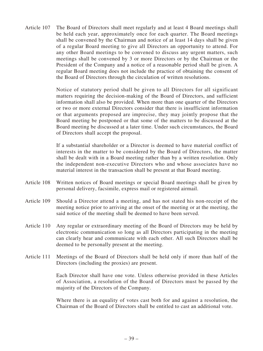Article 107 The Board of Directors shall meet regularly and at least 4 Board meetings shall be held each year, approximately once for each quarter. The Board meetings shall be convened by the Chairman and notice of at least 14 days shall be given of a regular Board meeting to give all Directors an opportunity to attend. For any other Board meetings to be convened to discuss any urgent matters, such meetings shall be convened by 3 or more Directors or by the Chairman or the President of the Company and a notice of a reasonable period shall be given. A regular Board meeting does not include the practice of obtaining the consent of the Board of Directors through the circulation of written resolutions.

> Notice of statutory period shall be given to all Directors for all significant matters requiring the decision-making of the Board of Directors, and sufficient information shall also be provided. When more than one quarter of the Directors or two or more external Directors consider that there is insufficient information or that arguments proposed are imprecise, they may jointly propose that the Board meeting be postponed or that some of the matters to be discussed at the Board meeting be discussed at a later time. Under such circumstances, the Board of Directors shall accept the proposal.

> If a substantial shareholder or a Director is deemed to have material conflict of interests in the matter to be considered by the Board of Directors, the matter shall be dealt with in a Board meeting rather than by a written resolution. Only the independent non-executive Directors who and whose associates have no material interest in the transaction shall be present at that Board meeting.

- Article 108 Written notices of Board meetings or special Board meetings shall be given by personal delivery, facsimile, express mail or registered airmail.
- Article 109 Should a Director attend a meeting, and has not stated his non-receipt of the meeting notice prior to arriving at the onset of the meeting or at the meeting, the said notice of the meeting shall be deemed to have been served.
- Article 110 Any regular or extraordinary meeting of the Board of Directors may be held by electronic communication so long as all Directors participating in the meeting can clearly hear and communicate with each other. All such Directors shall be deemed to be personally present at the meeting.
- Article 111 Meetings of the Board of Directors shall be held only if more than half of the Directors (including the proxies) are present.

Each Director shall have one vote. Unless otherwise provided in these Articles of Association, a resolution of the Board of Directors must be passed by the majority of the Directors of the Company.

Where there is an equality of votes cast both for and against a resolution, the Chairman of the Board of Directors shall be entitled to cast an additional vote.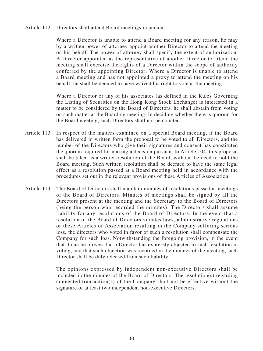Article 112 Directors shall attend Board meetings in person.

Where a Director is unable to attend a Board meeting for any reason, he may by a written power of attorney appoint another Director to attend the meeting on his behalf. The power of attorney shall specify the extent of authorization. A Director appointed as the representative of another Director to attend the meeting shall exercise the rights of a Director within the scope of authority conferred by the appointing Director. Where a Director is unable to attend a Board meeting and has not appointed a proxy to attend the meeting on his behalf, he shall be deemed to have waived his right to vote at the meeting.

Where a Director or any of his associates (as defined in the Rules Governing the Listing of Securities on the Hong Kong Stock Exchange) is interested in a matter to be considered by the Board of Directors, he shall abstain from voting on such matter at the Boarding meeting. In deciding whether there is quorum for the Board meeting, such Directors shall not be counted.

- Article 113 In respect of the matters examined on a special Board meeting, if the Board has delivered in written form the proposal to be voted to all Directors, and the number of the Directors who give their signatures and consent has constituted the quorum required for making a decision pursuant to Article 104, this proposal shall be taken as a written resolution of the Board, without the need to hold the Board meeting. Such written resolution shall be deemed to have the same legal effect as a resolution passed at a Board meeting held in accordance with the procedures set out in the relevant provisions of these Articles of Association.
- Article 114 The Board of Directors shall maintain minutes of resolutions passed at meetings of the Board of Directors. Minutes of meetings shall be signed by all the Directors present at the meeting and the Secretary to the Board of Directors (being the person who recorded the minutes). The Directors shall assume liability for any resolutions of the Board of Directors. In the event that a resolution of the Board of Directors violates laws, administrative regulations or these Articles of Association resulting in the Company suffering serious loss, the directors who voted in favor of such a resolution shall compensate the Company for such loss. Notwithstanding the foregoing provision, in the event that it can be proven that a Director has expressly objected to such resolution in voting, and that such objection was recorded in the minutes of the meeting, such Director shall be duly released from such liability.

The opinions expressed by independent non-executive Directors shall be included in the minutes of the Board of Directors. The resolution(s) regarding connected transaction(s) of the Company shall not be effective without the signature of at least two independent non-executive Directors.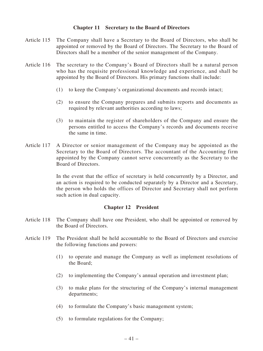# **Chapter 11 Secretary to the Board of Directors**

- Article 115 The Company shall have a Secretary to the Board of Directors, who shall be appointed or removed by the Board of Directors. The Secretary to the Board of Directors shall be a member of the senior management of the Company.
- Article 116 The secretary to the Company's Board of Directors shall be a natural person who has the requisite professional knowledge and experience, and shall be appointed by the Board of Directors. His primary functions shall include:
	- (1) to keep the Company's organizational documents and records intact;
	- (2) to ensure the Company prepares and submits reports and documents as required by relevant authorities according to laws;
	- (3) to maintain the register of shareholders of the Company and ensure the persons entitled to access the Company's records and documents receive the same in time.
- Article 117 A Director or senior management of the Company may be appointed as the Secretary to the Board of Directors. The accountant of the Accounting firm appointed by the Company cannot serve concurrently as the Secretary to the Board of Directors.

In the event that the office of secretary is held concurrently by a Director, and an action is required to be conducted separately by a Director and a Secretary, the person who holds the offices of Director and Secretary shall not perform such action in dual capacity.

#### **Chapter 12 President**

- Article 118 The Company shall have one President, who shall be appointed or removed by the Board of Directors.
- Article 119 The President shall be held accountable to the Board of Directors and exercise the following functions and powers:
	- (1) to operate and manage the Company as well as implement resolutions of the Board;
	- (2) to implementing the Company's annual operation and investment plan;
	- (3) to make plans for the structuring of the Company's internal management departments;
	- (4) to formulate the Company's basic management system;
	- (5) to formulate regulations for the Company;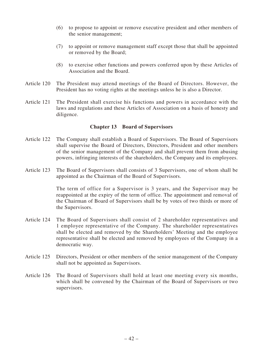- (6) to propose to appoint or remove executive president and other members of the senior management;
- (7) to appoint or remove management staff except those that shall be appointed or removed by the Board;
- (8) to exercise other functions and powers conferred upon by these Articles of Association and the Board.
- Article 120 The President may attend meetings of the Board of Directors. However, the President has no voting rights at the meetings unless he is also a Director.
- Article 121 The President shall exercise his functions and powers in accordance with the laws and regulations and these Articles of Association on a basis of honesty and diligence.

# **Chapter 13 Board of Supervisors**

- Article 122 The Company shall establish a Board of Supervisors. The Board of Supervisors shall supervise the Board of Directors, Directors, President and other members of the senior management of the Company and shall prevent them from abusing powers, infringing interests of the shareholders, the Company and its employees.
- Article 123 The Board of Supervisors shall consists of 3 Supervisors, one of whom shall be appointed as the Chairman of the Board of Supervisors.

The term of office for a Supervisor is 3 years, and the Supervisor may be reappointed at the expiry of the term of office. The appointment and removal of the Chairman of Board of Supervisors shall be by votes of two thirds or more of the Supervisors.

- Article 124 The Board of Supervisors shall consist of 2 shareholder representatives and 1 employee representative of the Company. The shareholder representatives shall be elected and removed by the Shareholders' Meeting and the employee representative shall be elected and removed by employees of the Company in a democratic way.
- Article 125 Directors, President or other members of the senior management of the Company shall not be appointed as Supervisors.
- Article 126 The Board of Supervisors shall hold at least one meeting every six months, which shall be convened by the Chairman of the Board of Supervisors or two supervisors.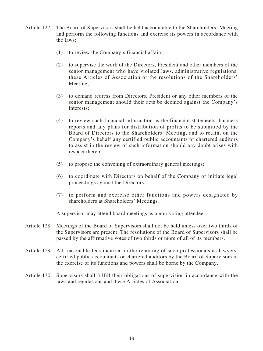- Article 127 The Board of Supervisors shall be held accountable to the Shareholders' Meeting and perform the following functions and exercise its powers in accordance with the laws:
	- (1) to review the Company's financial affairs;
	- (2) to supervise the work of the Directors, President and other members of the senior management who have violated laws, administrative regulations, these Articles of Association or the resolutions of the Shareholders' Meeting;
	- (3) to demand redress from Directors, President or any other members of the senior management should their acts be deemed against the Company's interests;
	- (4) to review such financial information as the financial statements, business reports and any plans for distribution of profits to be submitted by the Board of Directors to the Shareholders' Meeting, and to retain, on the Company's behalf any certified public accountants or chartered auditors to assist in the review of such information should any doubt arises with respect thereof;
	- (5) to propose the convening of extraordinary general meetings;
	- (6) to coordinate with Directors on behalf of the Company or initiate legal proceedings against the Directors;
	- (7) to perform and exercise other functions and powers designated by shareholders at Shareholders' Meetings.

A supervisor may attend board meetings as a non-voting attendee.

- Article 128 Meetings of the Board of Supervisors shall not be held unless over two thirds of the Supervisors are present. The resolutions of the Board of Supervisors shall be passed by the affirmative votes of two thirds or more of all of its members.
- Article 129 All reasonable fees incurred in the retaining of such professionals as lawyers, certified public accountants or chartered auditors by the Board of Supervisors in the exercise of its functions and powers shall be borne by the Company.
- Article 130 Supervisors shall fulfill their obligations of supervision in accordance with the laws and regulations and these Articles of Association.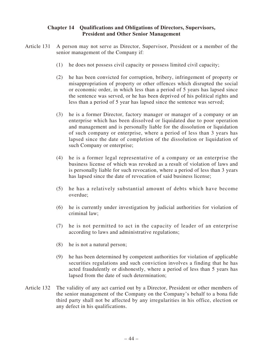# **Chapter 14 Qualifications and Obligations of Directors, Supervisors, President and Other Senior Management**

- Article 131 A person may not serve as Director, Supervisor, President or a member of the senior management of the Company if:
	- (1) he does not possess civil capacity or possess limited civil capacity;
	- (2) he has been convicted for corruption, bribery, infringement of property or misappropriation of property or other offences which disrupted the social or economic order, in which less than a period of 5 years has lapsed since the sentence was served, or he has been deprived of his political rights and less than a period of 5 year has lapsed since the sentence was served;
	- (3) he is a former Director, factory manager or manager of a company or an enterprise which has been dissolved or liquidated due to poor operation and management and is personally liable for the dissolution or liquidation of such company or enterprise, where a period of less than 3 years has lapsed since the date of completion of the dissolution or liquidation of such Company or enterprise;
	- (4) he is a former legal representative of a company or an enterprise the business license of which was revoked as a result of violation of laws and is personally liable for such revocation, where a period of less than 3 years has lapsed since the date of revocation of said business license;
	- (5) he has a relatively substantial amount of debts which have become overdue;
	- (6) he is currently under investigation by judicial authorities for violation of criminal law;
	- (7) he is not permitted to act in the capacity of leader of an enterprise according to laws and administrative regulations;
	- (8) he is not a natural person;
	- (9) he has been determined by competent authorities for violation of applicable securities regulations and such conviction involves a finding that he has acted fraudulently or dishonestly, where a period of less than 5 years has lapsed from the date of such determination;
- Article 132 The validity of any act carried out by a Director, President or other members of the senior management of the Company on the Company's behalf to a bona fide third party shall not be affected by any irregularities in his office, election or any defect in his qualifications.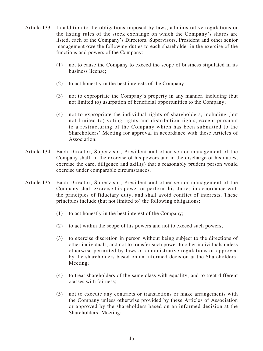- Article 133 In addition to the obligations imposed by laws, administrative regulations or the listing rules of the stock exchange on which the Company's shares are listed, each of the Company's Directors, Supervisors, President and other senior management owe the following duties to each shareholder in the exercise of the functions and powers of the Company:
	- (1) not to cause the Company to exceed the scope of business stipulated in its business license;
	- (2) to act honestly in the best interests of the Company;
	- (3) not to expropriate the Company's property in any manner, including (but not limited to) usurpation of beneficial opportunities to the Company;
	- (4) not to expropriate the individual rights of shareholders, including (but not limited to) voting rights and distribution rights, except pursuant to a restructuring of the Company which has been submitted to the Shareholders' Meeting for approval in accordance with these Articles of Association.
- Article 134 Each Director, Supervisor, President and other senior management of the Company shall, in the exercise of his powers and in the discharge of his duties, exercise the care, diligence and skill(s) that a reasonably prudent person would exercise under comparable circumstances.
- Article 135 Each Director, Supervisor, President and other senior management of the Company shall exercise his power or perform his duties in accordance with the principles of fiduciary duty, and shall avoid conflict of interests. These principles include (but not limited to) the following obligations:
	- (1) to act honestly in the best interest of the Company;
	- (2) to act within the scope of his powers and not to exceed such powers;
	- (3) to exercise discretion in person without being subject to the directions of other individuals, and not to transfer such power to other individuals unless otherwise permitted by laws or administrative regulations or approved by the shareholders based on an informed decision at the Shareholders' Meeting;
	- (4) to treat shareholders of the same class with equality, and to treat different classes with fairness;
	- (5) not to execute any contracts or transactions or make arrangements with the Company unless otherwise provided by these Articles of Association or approved by the shareholders based on an informed decision at the Shareholders' Meeting;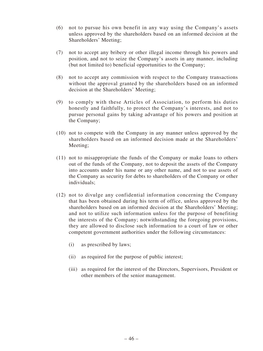- (6) not to pursue his own benefit in any way using the Company's assets unless approved by the shareholders based on an informed decision at the Shareholders' Meeting;
- (7) not to accept any bribery or other illegal income through his powers and position, and not to seize the Company's assets in any manner, including (but not limited to) beneficial opportunities to the Company;
- (8) not to accept any commission with respect to the Company transactions without the approval granted by the shareholders based on an informed decision at the Shareholders' Meeting;
- (9) to comply with these Articles of Association, to perform his duties honestly and faithfully, to protect the Company's interests, and not to pursue personal gains by taking advantage of his powers and position at the Company;
- (10) not to compete with the Company in any manner unless approved by the shareholders based on an informed decision made at the Shareholders' Meeting;
- (11) not to misappropriate the funds of the Company or make loans to others out of the funds of the Company, not to deposit the assets of the Company into accounts under his name or any other name, and not to use assets of the Company as security for debts to shareholders of the Company or other individuals;
- (12) not to divulge any confidential information concerning the Company that has been obtained during his term of office, unless approved by the shareholders based on an informed decision at the Shareholders' Meeting; and not to utilize such information unless for the purpose of benefiting the interests of the Company; notwithstanding the foregoing provisions, they are allowed to disclose such information to a court of law or other competent government authorities under the following circumstances:
	- (i) as prescribed by laws;
	- (ii) as required for the purpose of public interest;
	- (iii) as required for the interest of the Directors, Supervisors, President or other members of the senior management.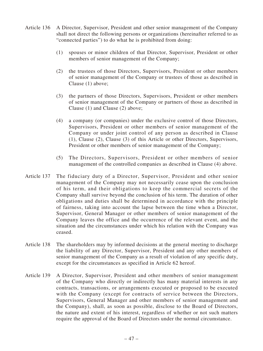- Article 136 A Director, Supervisor, President and other senior management of the Company shall not direct the following persons or organizations (hereinafter referred to as "connected parties") to do what he is prohibited from doing:
	- (1) spouses or minor children of that Director, Supervisor, President or other members of senior management of the Company;
	- (2) the trustees of those Directors, Supervisors, President or other members of senior management of the Company or trustees of those as described in Clause (1) above;
	- (3) the partners of those Directors, Supervisors, President or other members of senior management of the Company or partners of those as described in Clause (1) and Clause (2) above;
	- (4) a company (or companies) under the exclusive control of those Directors, Supervisors, President or other members of senior management of the Company or under joint control of any person as described in Clause (1), Clause (2), Clause (3) of this Article or other Directors, Supervisors, President or other members of senior management of the Company;
	- (5) The Directors, Supervisors, President or other members of senior management of the controlled companies as described in Clause (4) above.
- Article 137 The fiduciary duty of a Director, Supervisor, President and other senior management of the Company may not necessarily cease upon the conclusion of his term, and their obligations to keep the commercial secrets of the Company shall survive beyond the conclusion of his term. The duration of other obligations and duties shall be determined in accordance with the principle of fairness, taking into account the lapse between the time when a Director, Supervisor, General Manager or other members of senior management of the Company leaves the office and the occurrence of the relevant event, and the situation and the circumstances under which his relation with the Company was ceased.
- Article 138 The shareholders may by informed decisions at the general meeting to discharge the liability of any Director, Supervisor, President and any other members of senior management of the Company as a result of violation of any specific duty, except for the circumstances as specified in Article 62 hereof.
- Article 139 A Director, Supervisor, President and other members of senior management of the Company who directly or indirectly has many material interests in any contracts, transactions, or arrangements executed or proposed to be executed with the Company (except for contracts of service between the Directors, Supervisors, General Manager and other members of senior management and the Company), shall, as soon as possible, disclose to the Board of Directors, the nature and extent of his interest, regardless of whether or not such matters require the approval of the Board of Directors under the normal circumstance.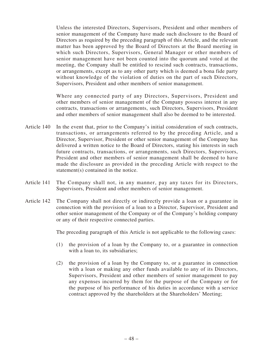Unless the interested Directors, Supervisors, President and other members of senior management of the Company have made such disclosure to the Board of Directors as required by the preceding paragraph of this Article, and the relevant matter has been approved by the Board of Directors at the Board meeting in which such Directors, Supervisors, General Manager or other members of senior management have not been counted into the quorum and voted at the meeting, the Company shall be entitled to rescind such contracts, transactions, or arrangements, except as to any other party which is deemed a bona fide party without knowledge of the violation of duties on the part of such Directors, Supervisors, President and other members of senior management.

Where any connected party of any Directors, Supervisors, President and other members of senior management of the Company possess interest in any contracts, transactions or arrangements, such Directors, Supervisors, President and other members of senior management shall also be deemed to be interested.

- Article 140 In the event that, prior to the Company's initial consideration of such contracts, transactions, or arrangements referred to by the preceding Article, and a Director, Supervisor, President or other senior management of the Company has delivered a written notice to the Board of Directors, stating his interests in such future contracts, transactions, or arrangements, such Directors, Supervisors, President and other members of senior management shall be deemed to have made the disclosure as provided in the preceding Article with respect to the statement(s) contained in the notice.
- Article 141 The Company shall not, in any manner, pay any taxes for its Directors, Supervisors, President and other members of senior management.
- Article 142 The Company shall not directly or indirectly provide a loan or a guarantee in connection with the provision of a loan to a Director, Supervisor, President and other senior management of the Company or of the Company's holding company or any of their respective connected parties.

The preceding paragraph of this Article is not applicable to the following cases:

- (1) the provision of a loan by the Company to, or a guarantee in connection with a loan to, its subsidiaries;
- (2) the provision of a loan by the Company to, or a guarantee in connection with a loan or making any other funds available to any of its Directors, Supervisors, President and other members of senior management to pay any expenses incurred by them for the purpose of the Company or for the purpose of his performance of his duties in accordance with a service contract approved by the shareholders at the Shareholders' Meeting;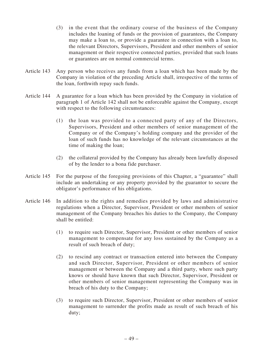- (3) in the event that the ordinary course of the business of the Company includes the loaning of funds or the provision of guarantees, the Company may make a loan to, or provide a guarantee in connection with a loan to, the relevant Directors, Supervisors, President and other members of senior management or their respective connected parties, provided that such loans or guarantees are on normal commercial terms.
- Article 143 Any person who receives any funds from a loan which has been made by the Company in violation of the preceding Article shall, irrespective of the terms of the loan, forthwith repay such funds.
- Article 144 A guarantee for a loan which has been provided by the Company in violation of paragraph 1 of Article 142 shall not be enforceable against the Company, except with respect to the following circumstances:
	- (1) the loan was provided to a connected party of any of the Directors, Supervisors, President and other members of senior management of the Company or of the Company's holding company and the provider of the loan of such funds has no knowledge of the relevant circumstances at the time of making the loan;
	- (2) the collateral provided by the Company has already been lawfully disposed of by the lender to a bona fide purchaser.
- Article 145 For the purpose of the foregoing provisions of this Chapter, a "guarantee" shall include an undertaking or any property provided by the guarantor to secure the obligator's performance of his obligations.
- Article 146 In addition to the rights and remedies provided by laws and administrative regulations when a Director, Supervisor, President or other members of senior management of the Company breaches his duties to the Company, the Company shall be entitled:
	- (1) to require such Director, Supervisor, President or other members of senior management to compensate for any loss sustained by the Company as a result of such breach of duty;
	- (2) to rescind any contract or transaction entered into between the Company and such Director, Supervisor, President or other members of senior management or between the Company and a third party, where such party knows or should have known that such Director, Supervisor, President or other members of senior management representing the Company was in breach of his duty to the Company;
	- (3) to require such Director, Supervisor, President or other members of senior management to surrender the profits made as result of such breach of his duty;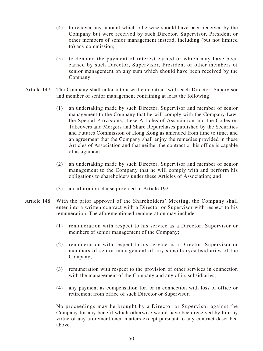- (4) to recover any amount which otherwise should have been received by the Company but were received by such Director, Supervisor, President or other members of senior management instead, including (but not limited to) any commission;
- (5) to demand the payment of interest earned or which may have been earned by such Director, Supervisor, President or other members of senior management on any sum which should have been received by the Company.
- Article 147 The Company shall enter into a written contract with each Director, Supervisor and member of senior management containing at least the following:
	- (1) an undertaking made by such Director, Supervisor and member of senior management to the Company that he will comply with the Company Law, the Special Provisions, these Articles of Association and the Codes on Takeovers and Mergers and Share Repurchases published by the Securities and Futures Commission of Hong Kong as amended from time to time, and an agreement that the Company shall enjoy the remedies provided in these Articles of Association and that neither the contract or his office is capable of assignment;
	- (2) an undertaking made by such Director, Supervisor and member of senior management to the Company that he will comply with and perform his obligations to shareholders under these Articles of Association; and
	- (3) an arbitration clause provided in Article 192.
- Article 148 With the prior approval of the Shareholders' Meeting, the Company shall enter into a written contract with a Director or Supervisor with respect to his remuneration. The aforementioned remuneration may include:
	- (1) remuneration with respect to his service as a Director, Supervisor or members of senior management of the Company;
	- (2) remuneration with respect to his service as a Director, Supervisor or members of senior management of any subsidiary/subsidiaries of the Company;
	- (3) remuneration with respect to the provision of other services in connection with the management of the Company and any of its subsidiaries;
	- (4) any payment as compensation for, or in connection with loss of office or retirement from office of such Director or Supervisor.

No proceedings may be brought by a Director or Supervisor against the Company for any benefit which otherwise would have been received by him by virtue of any aforementioned matters except pursuant to any contract described above.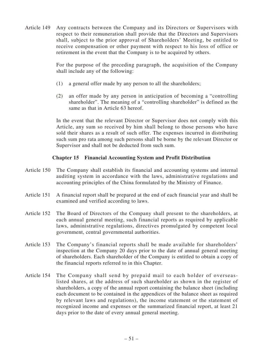Article 149 Any contracts between the Company and its Directors or Supervisors with respect to their remuneration shall provide that the Directors and Supervisors shall, subject to the prior approval of Shareholders' Meeting, be entitled to receive compensation or other payment with respect to his loss of office or retirement in the event that the Company is to be acquired by others.

> For the purpose of the preceding paragraph, the acquisition of the Company shall include any of the following:

- (1) a general offer made by any person to all the shareholders;
- (2) an offer made by any person in anticipation of becoming a "controlling shareholder". The meaning of a "controlling shareholder" is defined as the same as that in Article 63 hereof.

In the event that the relevant Director or Supervisor does not comply with this Article, any sum so received by him shall belong to those persons who have sold their shares as a result of such offer. The expenses incurred in distributing such sum pro rata among such persons shall be borne by the relevant Director or Supervisor and shall not be deducted from such sum.

# **Chapter 15 Financial Accounting System and Profit Distribution**

- Article 150 The Company shall establish its financial and accounting systems and internal auditing system in accordance with the laws, administrative regulations and accounting principles of the China formulated by the Ministry of Finance.
- Article 151 A financial report shall be prepared at the end of each financial year and shall be examined and verified according to laws.
- Article 152 The Board of Directors of the Company shall present to the shareholders, at each annual general meeting, such financial reports as required by applicable laws, administrative regulations, directives promulgated by competent local government, central governmental authorities.
- Article 153 The Company's financial reports shall be made available for shareholders' inspection at the Company 20 days prior to the date of annual general meeting of shareholders. Each shareholder of the Company is entitled to obtain a copy of the financial reports referred to in this Chapter.
- Article 154 The Company shall send by prepaid mail to each holder of overseaslisted shares, at the address of such shareholder as shown in the register of shareholders, a copy of the annual report containing the balance sheet (including each document to be contained in the appendices of the balance sheet as required by relevant laws and regulations), the income statement or the statement of recognized income and expenses or the summarized financial report, at least 21 days prior to the date of every annual general meeting.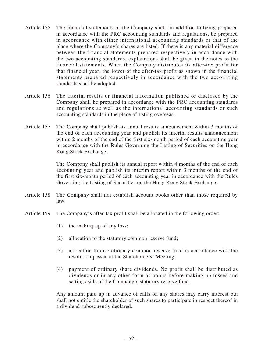- Article 155 The financial statements of the Company shall, in addition to being prepared in accordance with the PRC accounting standards and regulations, be prepared in accordance with either international accounting standards or that of the place where the Company's shares are listed. If there is any material difference between the financial statements prepared respectively in accordance with the two accounting standards, explanations shall be given in the notes to the financial statements. When the Company distributes its after-tax profit for that financial year, the lower of the after-tax profit as shown in the financial statements prepared respectively in accordance with the two accounting standards shall be adopted.
- Article 156 The interim results or financial information published or disclosed by the Company shall be prepared in accordance with the PRC accounting standards and regulations as well as the international accounting standards or such accounting standards in the place of listing overseas.
- Article 157 The Company shall publish its annual results announcement within 3 months of the end of each accounting year and publish its interim results announcement within 2 months of the end of the first six-month period of each accounting year in accordance with the Rules Governing the Listing of Securities on the Hong Kong Stock Exchange.

The Company shall publish its annual report within 4 months of the end of each accounting year and publish its interim report within 3 months of the end of the first six-month period of each accounting year in accordance with the Rules Governing the Listing of Securities on the Hong Kong Stock Exchange.

- Article 158 The Company shall not establish account books other than those required by law.
- Article 159 The Company's after-tax profit shall be allocated in the following order:
	- (1) the making up of any loss;
	- (2) allocation to the statutory common reserve fund;
	- (3) allocation to discretionary common reserve fund in accordance with the resolution passed at the Shareholders' Meeting;
	- (4) payment of ordinary share dividends. No profit shall be distributed as dividends or in any other form as bonus before making up losses and setting aside of the Company's statutory reserve fund.

Any amount paid up in advance of calls on any shares may carry interest but shall not entitle the shareholder of such shares to participate in respect thereof in a dividend subsequently declared.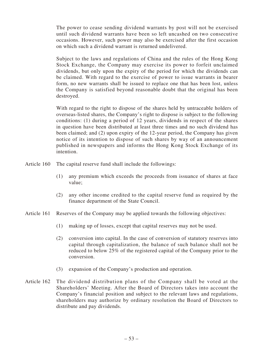The power to cease sending dividend warrants by post will not be exercised until such dividend warrants have been so left uncashed on two consecutive occasions. However, such power may also be exercised after the first occasion on which such a dividend warrant is returned undelivered.

Subject to the laws and regulations of China and the rules of the Hong Kong Stock Exchange, the Company may exercise its power to forfeit unclaimed dividends, but only upon the expiry of the period for which the dividends can be claimed. With regard to the exercise of power to issue warrants in bearer form, no new warrants shall be issued to replace one that has been lost, unless the Company is satisfied beyond reasonable doubt that the original has been destroyed.

With regard to the right to dispose of the shares held by untraceable holders of overseas-listed shares, the Company's right to dispose is subject to the following conditions: (1) during a period of 12 years, dividends in respect of the shares in question have been distributed at least three times and no such dividend has been claimed; and (2) upon expiry of the 12-year period, the Company has given notice of its intention to dispose of such shares by way of an announcement published in newspapers and informs the Hong Kong Stock Exchange of its intention.

Article 160 The capital reserve fund shall include the followings:

- (1) any premium which exceeds the proceeds from issuance of shares at face value;
- (2) any other income credited to the capital reserve fund as required by the finance department of the State Council.
- Article 161 Reserves of the Company may be applied towards the following objectives:
	- (1) making up of losses, except that capital reserves may not be used.
	- (2) conversion into capital. In the case of conversion of statutory reserves into capital through capitalization, the balance of such balance shall not be reduced to below 25% of the registered capital of the Company prior to the conversion.
	- (3) expansion of the Company's production and operation.
- Article 162 The dividend distribution plans of the Company shall be voted at the Shareholders' Meeting. After the Board of Directors takes into account the Company's financial position and subject to the relevant laws and regulations, shareholders may authorize by ordinary resolution the Board of Directors to distribute and pay dividends.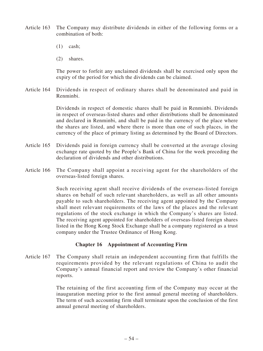- Article 163 The Company may distribute dividends in either of the following forms or a combination of both:
	- $(1)$  cash:
	- (2) shares.

The power to forfeit any unclaimed dividends shall be exercised only upon the expiry of the period for which the dividends can be claimed.

Article 164 Dividends in respect of ordinary shares shall be denominated and paid in Renminbi.

> Dividends in respect of domestic shares shall be paid in Renminbi. Dividends in respect of overseas-listed shares and other distributions shall be denominated and declared in Renminbi, and shall be paid in the currency of the place where the shares are listed, and where there is more than one of such places, in the currency of the place of primary listing as determined by the Board of Directors.

- Article 165 Dividends paid in foreign currency shall be converted at the average closing exchange rate quoted by the People's Bank of China for the week preceding the declaration of dividends and other distributions.
- Article 166 The Company shall appoint a receiving agent for the shareholders of the overseas-listed foreign shares.

Such receiving agent shall receive dividends of the overseas-listed foreign shares on behalf of such relevant shareholders, as well as all other amounts payable to such shareholders. The receiving agent appointed by the Company shall meet relevant requirements of the laws of the places and the relevant regulations of the stock exchange in which the Company's shares are listed. The receiving agent appointed for shareholders of overseas-listed foreign shares listed in the Hong Kong Stock Exchange shall be a company registered as a trust company under the Trustee Ordinance of Hong Kong.

#### **Chapter 16 Appointment of Accounting Firm**

Article 167 The Company shall retain an independent accounting firm that fulfills the requirements provided by the relevant regulations of China to audit the Company's annual financial report and review the Company's other financial reports.

> The retaining of the first accounting firm of the Company may occur at the inauguration meeting prior to the first annual general meeting of shareholders. The term of such accounting firm shall terminate upon the conclusion of the first annual general meeting of shareholders.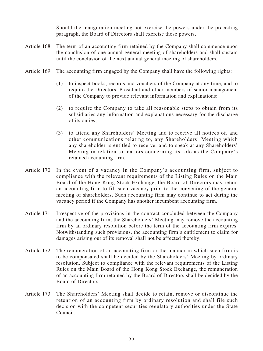Should the inauguration meeting not exercise the powers under the preceding paragraph, the Board of Directors shall exercise those powers.

- Article 168 The term of an accounting firm retained by the Company shall commence upon the conclusion of one annual general meeting of shareholders and shall sustain until the conclusion of the next annual general meeting of shareholders.
- Article 169 The accounting firm engaged by the Company shall have the following rights:
	- (1) to inspect books, records and vouchers of the Company at any time, and to require the Directors, President and other members of senior management of the Company to provide relevant information and explanations;
	- (2) to require the Company to take all reasonable steps to obtain from its subsidiaries any information and explanations necessary for the discharge of its duties;
	- (3) to attend any Shareholders' Meeting and to receive all notices of, and other communications relating to, any Shareholders' Meeting which any shareholder is entitled to receive, and to speak at any Shareholders' Meeting in relation to matters concerning its role as the Company's retained accounting firm.
- Article 170 In the event of a vacancy in the Company's accounting firm, subject to compliance with the relevant requirements of the Listing Rules on the Main Board of the Hong Kong Stock Exchange, the Board of Directors may retain an accounting firm to fill such vacancy prior to the convening of the general meeting of shareholders. Such accounting firm may continue to act during the vacancy period if the Company has another incumbent accounting firm.
- Article 171 Irrespective of the provisions in the contract concluded between the Company and the accounting firm, the Shareholders' Meeting may remove the accounting firm by an ordinary resolution before the term of the accounting firm expires. Notwithstanding such provisions, the accounting firm's entitlement to claim for damages arising out of its removal shall not be affected thereby.
- Article 172 The remuneration of an accounting firm or the manner in which such firm is to be compensated shall be decided by the Shareholders' Meeting by ordinary resolution. Subject to compliance with the relevant requirements of the Listing Rules on the Main Board of the Hong Kong Stock Exchange, the remuneration of an accounting firm retained by the Board of Directors shall be decided by the Board of Directors.
- Article 173 The Shareholders' Meeting shall decide to retain, remove or discontinue the retention of an accounting firm by ordinary resolution and shall file such decision with the competent securities regulatory authorities under the State Council.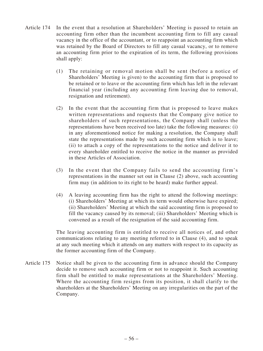- Article 174 In the event that a resolution at Shareholders' Meeting is passed to retain an accounting firm other than the incumbent accounting firm to fill any casual vacancy in the office of the accountant, or to reappoint an accounting firm which was retained by the Board of Directors to fill any casual vacancy, or to remove an accounting firm prior to the expiration of its term, the following provisions shall apply:
	- (1) The retaining or removal motion shall be sent (before a notice of Shareholders' Meeting is given) to the accounting firm that is proposed to be retained or to leave or the accounting firm which has left in the relevant financial year (including any accounting firm leaving due to removal, resignation and retirement).
	- (2) In the event that the accounting firm that is proposed to leave makes written representations and requests that the Company give notice to shareholders of such representations, the Company shall (unless the representations have been received too late) take the following measures: (i) in any aforementioned notice for making a resolution, the Company shall state the representations made by such accounting firm which is to leave; (ii) to attach a copy of the representations to the notice and deliver it to every shareholder entitled to receive the notice in the manner as provided in these Articles of Association.
	- (3) In the event that the Company fails to send the accounting firm's representations in the manner set out in Clause (2) above, such accounting firm may (in addition to its right to be heard) make further appeal.
	- (4) A leaving accounting firm has the right to attend the following meetings: (i) Shareholders' Meeting at which its term would otherwise have expired; (ii) Shareholders' Meeting at which the said accounting firm is proposed to fill the vacancy caused by its removal; (iii) Shareholders' Meeting which is convened as a result of the resignation of the said accounting firm.

The leaving accounting firm is entitled to receive all notices of, and other communications relating to any meeting referred to in Clause (4), and to speak at any such meeting which it attends on any matters with respect to its capacity as the former accounting firm of the Company.

Article 175 Notice shall be given to the accounting firm in advance should the Company decide to remove such accounting firm or not to reappoint it. Such accounting firm shall be entitled to make representations at the Shareholders' Meeting. Where the accounting firm resigns from its position, it shall clarify to the shareholders at the Shareholders' Meeting on any irregularities on the part of the Company.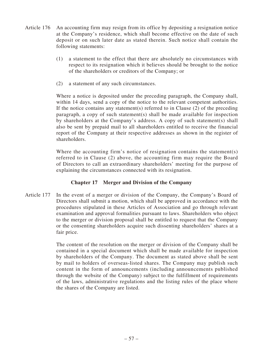- Article 176 An accounting firm may resign from its office by depositing a resignation notice at the Company's residence, which shall become effective on the date of such deposit or on such later date as stated therein. Such notice shall contain the following statements:
	- (1) a statement to the effect that there are absolutely no circumstances with respect to its resignation which it believes should be brought to the notice of the shareholders or creditors of the Company; or
	- (2) a statement of any such circumstances.

Where a notice is deposited under the preceding paragraph, the Company shall, within 14 days, send a copy of the notice to the relevant competent authorities. If the notice contains any statement(s) referred to in Clause  $(2)$  of the preceding paragraph, a copy of such statement(s) shall be made available for inspection by shareholders at the Company's address. A copy of such statement(s) shall also be sent by prepaid mail to all shareholders entitled to receive the financial report of the Company at their respective addresses as shown in the register of shareholders.

Where the accounting firm's notice of resignation contains the statement(s) referred to in Clause (2) above, the accounting firm may require the Board of Directors to call an extraordinary shareholders' meeting for the purpose of explaining the circumstances connected with its resignation.

# **Chapter 17 Merger and Division of the Company**

Article 177 In the event of a merger or division of the Company, the Company's Board of Directors shall submit a motion, which shall be approved in accordance with the procedures stipulated in these Articles of Association and go through relevant examination and approval formalities pursuant to laws. Shareholders who object to the merger or division proposal shall be entitled to request that the Company or the consenting shareholders acquire such dissenting shareholders' shares at a fair price.

> The content of the resolution on the merger or division of the Company shall be contained in a special document which shall be made available for inspection by shareholders of the Company. The document as stated above shall be sent by mail to holders of overseas-listed shares. The Company may publish such content in the form of announcements (including announcements published through the website of the Company) subject to the fulfillment of requirements of the laws, administrative regulations and the listing rules of the place where the shares of the Company are listed.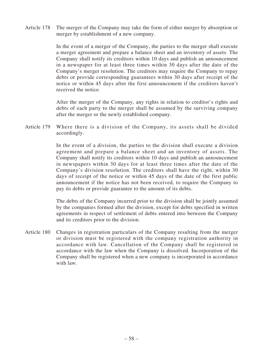Article 178 The merger of the Company may take the form of either merger by absorption or merger by establishment of a new company.

> In the event of a merger of the Company, the parties to the merger shall execute a merger agreement and prepare a balance sheet and an inventory of assets. The Company shall notify its creditors within 10 days and publish an announcement in a newspaper for at least three times within 30 days after the date of the Company's merger resolution. The creditors may require the Company to repay debts or provide corresponding guarantees within 30 days after receipt of the notice or within 45 days after the first announcement if the creditors haven't received the notice.

> After the merger of the Company, any rights in relation to creditor's rights and debts of each party to the merger shall be assumed by the surviving company after the merger or the newly established company.

Article 179 Where there is a division of the Company, its assets shall be divided accordingly.

> In the event of a division, the parties to the division shall execute a division agreement and prepare a balance sheet and an inventory of assets. The Company shall notify its creditors within 10 days and publish an announcement in newspapers within 30 days for at least three times after the date of the Company's division resolution. The creditors shall have the right, within 30 days of receipt of the notice or within 45 days of the date of the first public announcement if the notice has not been received, to require the Company to pay its debts or provide guarantee to the amount of its debts.

> The debts of the Company incurred prior to the division shall be jointly assumed by the companies formed after the division, except for debts specified in written agreements in respect of settlement of debts entered into between the Company and its creditors prior to the division.

Article 180 Changes in registration particulars of the Company resulting from the merger or division must be registered with the company registration authority in accordance with law. Cancellation of the Company shall be registered in accordance with the law when the Company is dissolved. Incorporation of the Company shall be registered when a new company is incorporated in accordance with law.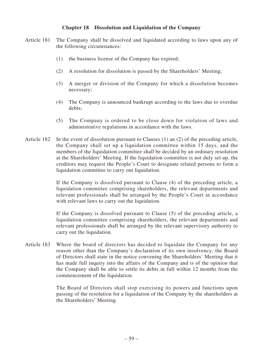# **Chapter 18 Dissolution and Liquidation of the Company**

- Article 181 The Company shall be dissolved and liquidated according to laws upon any of the following circumstances:
	- (1) the business license of the Company has expired;
	- (2) A resolution for dissolution is passed by the Shareholders' Meeting;
	- (3) A merger or division of the Company for which a dissolution becomes necessary;
	- (4) The Company is announced bankrupt according to the laws due to overdue debts;
	- (5) The Company is ordered to be close down for violation of laws and administrative regulations in accordance with the laws.
- Article 182 In the event of dissolution pursuant to Clauses (1) an (2) of the preceding article, the Company shall set up a liquidation committee within 15 days, and the members of the liquidation committee shall be decided by an ordinary resolution at the Shareholders' Meeting. If the liquidation committee is not duly set up, the creditors may request the People's Court to designate related persons to form a liquidation committee to carry out liquidation.

If the Company is dissolved pursuant to Clause (4) of the preceding article, a liquidation committee comprising shareholders, the relevant departments and relevant professionals shall be arranged by the People's Court in accordance with relevant laws to carry out the liquidation.

If the Company is dissolved pursuant to Clause (5) of the preceding article, a liquidation committee comprising shareholders, the relevant departments and relevant professionals shall be arranged by the relevant supervisory authority to carry out the liquidation.

Article 183 Where the board of directors has decided to liquidate the Company for any reason other than the Company's declaration of its own insolvency, the Board of Directors shall state in the notice convening the Shareholders' Meeting that it has made full inquiry into the affairs of the Company and is of the opinion that the Company shall be able to settle its debts in full within 12 months from the commencement of the liquidation.

> The Board of Directors shall stop exercising its powers and functions upon passing of the resolution for a liquidation of the Company by the shareholders at the Shareholders' Meeting.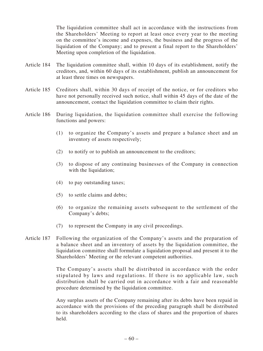The liquidation committee shall act in accordance with the instructions from the Shareholders' Meeting to report at least once every year to the meeting on the committee's income and expenses, the business and the progress of the liquidation of the Company; and to present a final report to the Shareholders' Meeting upon completion of the liquidation.

- Article 184 The liquidation committee shall, within 10 days of its establishment, notify the creditors, and, within 60 days of its establishment, publish an announcement for at least three times on newspapers.
- Article 185 Creditors shall, within 30 days of receipt of the notice, or for creditors who have not personally received such notice, shall within 45 days of the date of the announcement, contact the liquidation committee to claim their rights.
- Article 186 During liquidation, the liquidation committee shall exercise the following functions and powers:
	- (1) to organize the Company's assets and prepare a balance sheet and an inventory of assets respectively;
	- (2) to notify or to publish an announcement to the creditors;
	- (3) to dispose of any continuing businesses of the Company in connection with the liquidation;
	- (4) to pay outstanding taxes;
	- (5) to settle claims and debts;
	- (6) to organize the remaining assets subsequent to the settlement of the Company's debts;
	- (7) to represent the Company in any civil proceedings.
- Article 187 Following the organization of the Company's assets and the preparation of a balance sheet and an inventory of assets by the liquidation committee, the liquidation committee shall formulate a liquidation proposal and present it to the Shareholders' Meeting or the relevant competent authorities.

The Company's assets shall be distributed in accordance with the order stipulated by laws and regulations. If there is no applicable law, such distribution shall be carried out in accordance with a fair and reasonable procedure determined by the liquidation committee.

Any surplus assets of the Company remaining after its debts have been repaid in accordance with the provisions of the preceding paragraph shall be distributed to its shareholders according to the class of shares and the proportion of shares held.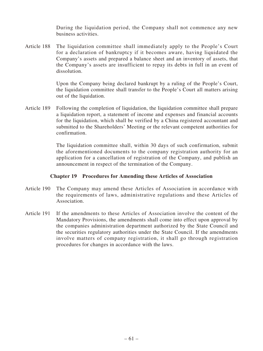During the liquidation period, the Company shall not commence any new business activities.

Article 188 The liquidation committee shall immediately apply to the People's Court for a declaration of bankruptcy if it becomes aware, having liquidated the Company's assets and prepared a balance sheet and an inventory of assets, that the Company's assets are insufficient to repay its debts in full in an event of dissolution.

> Upon the Company being declared bankrupt by a ruling of the People's Court, the liquidation committee shall transfer to the People's Court all matters arising out of the liquidation.

Article 189 Following the completion of liquidation, the liquidation committee shall prepare a liquidation report, a statement of income and expenses and financial accounts for the liquidation, which shall be verified by a China registered accountant and submitted to the Shareholders' Meeting or the relevant competent authorities for confirmation.

> The liquidation committee shall, within 30 days of such confirmation, submit the aforementioned documents to the company registration authority for an application for a cancellation of registration of the Company, and publish an announcement in respect of the termination of the Company.

#### **Chapter 19 Procedures for Amending these Articles of Association**

- Article 190 The Company may amend these Articles of Association in accordance with the requirements of laws, administrative regulations and these Articles of Association.
- Article 191 If the amendments to these Articles of Association involve the content of the Mandatory Provisions, the amendments shall come into effect upon approval by the companies administration department authorized by the State Council and the securities regulatory authorities under the State Council. If the amendments involve matters of company registration, it shall go through registration procedures for changes in accordance with the laws.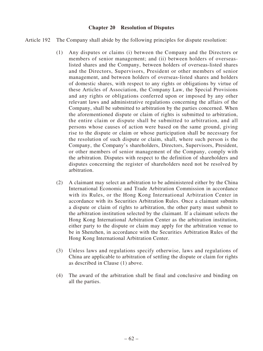#### **Chapter 20 Resolution of Disputes**

- Article 192 The Company shall abide by the following principles for dispute resolution:
	- (1) Any disputes or claims (i) between the Company and the Directors or members of senior management; and (ii) between holders of overseaslisted shares and the Company, between holders of overseas-listed shares and the Directors, Supervisors, President or other members of senior management, and between holders of overseas-listed shares and holders of domestic shares, with respect to any rights or obligations by virtue of these Articles of Association, the Company Law, the Special Provisions and any rights or obligations conferred upon or imposed by any other relevant laws and administrative regulations concerning the affairs of the Company, shall be submitted to arbitration by the parties concerned. When the aforementioned dispute or claim of rights is submitted to arbitration, the entire claim or dispute shall be submitted to arbitration, and all persons whose causes of action were based on the same ground, giving rise to the dispute or claim or whose participation shall be necessary for the resolution of such dispute or claim, shall, where such person is the Company, the Company's shareholders, Directors, Supervisors, President, or other members of senior management of the Company, comply with the arbitration. Disputes with respect to the definition of shareholders and disputes concerning the register of shareholders need not be resolved by arbitration.
	- (2) A claimant may select an arbitration to be administered either by the China International Economic and Trade Arbitration Commission in accordance with its Rules, or the Hong Kong International Arbitration Center in accordance with its Securities Arbitration Rules. Once a claimant submits a dispute or claim of rights to arbitration, the other party must submit to the arbitration institution selected by the claimant. If a claimant selects the Hong Kong International Arbitration Center as the arbitration institution, either party to the dispute or claim may apply for the arbitration venue to be in Shenzhen, in accordance with the Securities Arbitration Rules of the Hong Kong International Arbitration Center.
	- (3) Unless laws and regulations specify otherwise, laws and regulations of China are applicable to arbitration of settling the dispute or claim for rights as described in Clause (1) above.
	- (4) The award of the arbitration shall be final and conclusive and binding on all the parties.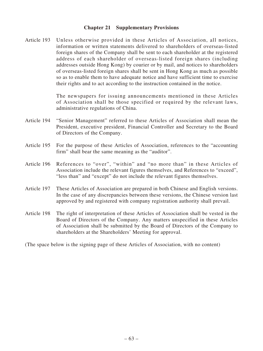#### **Chapter 21 Supplementary Provisions**

Article 193 Unless otherwise provided in these Articles of Association, all notices, information or written statements delivered to shareholders of overseas-listed foreign shares of the Company shall be sent to each shareholder at the registered address of each shareholder of overseas-listed foreign shares (including addresses outside Hong Kong) by courier or by mail, and notices to shareholders of overseas-listed foreign shares shall be sent in Hong Kong as much as possible so as to enable them to have adequate notice and have sufficient time to exercise their rights and to act according to the instruction contained in the notice.

> The newspapers for issuing announcements mentioned in these Articles of Association shall be those specified or required by the relevant laws, administrative regulations of China.

- Article 194 "Senior Management" referred to these Articles of Association shall mean the President, executive president, Financial Controller and Secretary to the Board of Directors of the Company.
- Article 195 For the purpose of these Articles of Association, references to the "accounting firm" shall bear the same meaning as the "auditor".
- Article 196 References to "over", "within" and "no more than" in these Articles of Association include the relevant figures themselves, and References to "exceed", "less than" and "except" do not include the relevant figures themselves.
- Article 197 These Articles of Association are prepared in both Chinese and English versions. In the case of any discrepancies between these versions, the Chinese version last approved by and registered with company registration authority shall prevail.
- Article 198 The right of interpretation of these Articles of Association shall be vested in the Board of Directors of the Company. Any matters unspecified in these Articles of Association shall be submitted by the Board of Directors of the Company to shareholders at the Shareholders' Meeting for approval.

(The space below is the signing page of these Articles of Association, with no content)